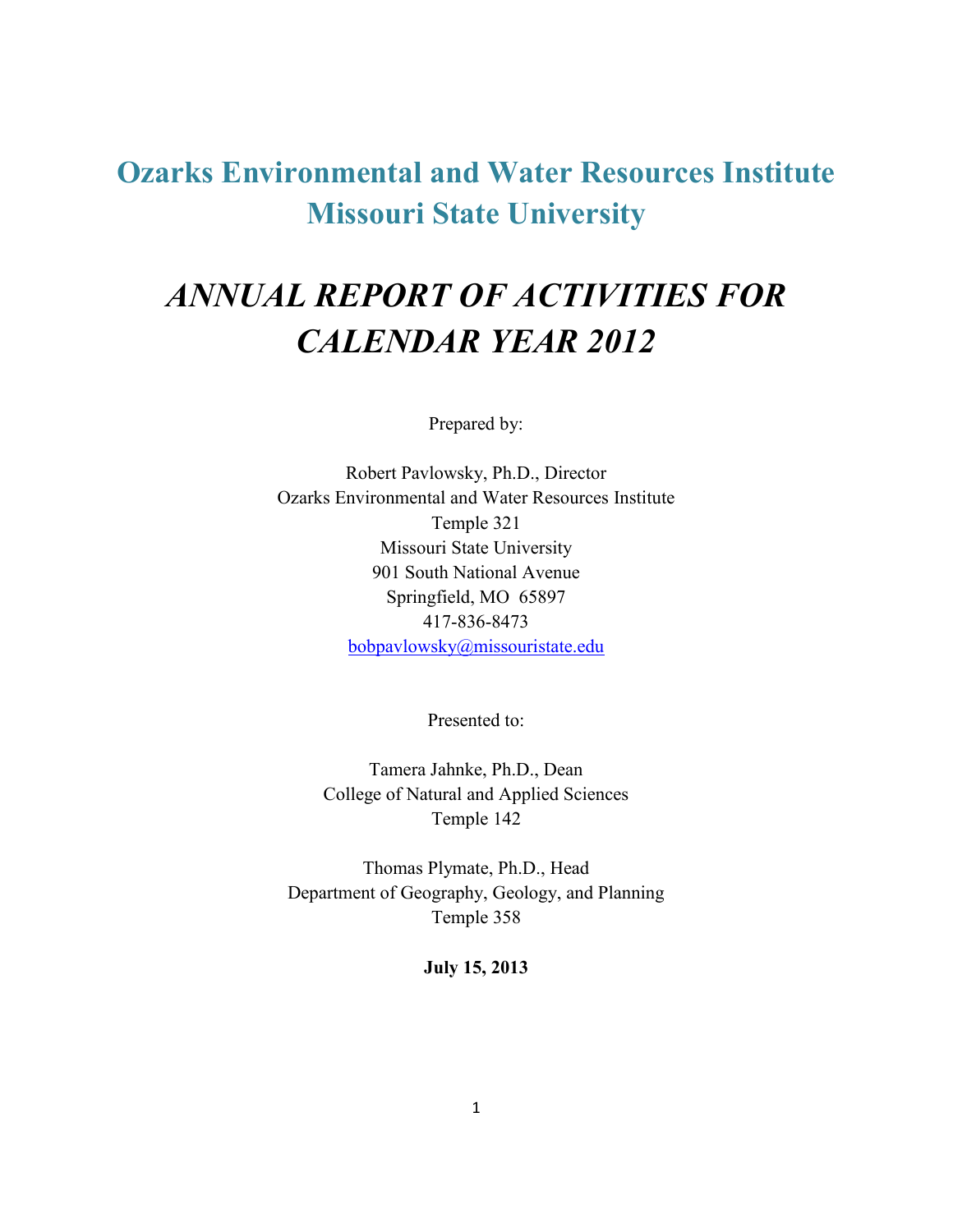**Ozarks Environmental and Water Resources Institute Missouri State University**

# *ANNUAL REPORT OF ACTIVITIES FOR CALENDAR YEAR 2012*

Prepared by:

Robert Pavlowsky, Ph.D., Director Ozarks Environmental and Water Resources Institute Temple 321 Missouri State University 901 South National Avenue Springfield, MO 65897 417-836-8473 [bobpavlowsky@missouristate.edu](mailto:bobpavlowsky@missouristate.edu)

Presented to:

Tamera Jahnke, Ph.D., Dean College of Natural and Applied Sciences Temple 142

Thomas Plymate, Ph.D., Head Department of Geography, Geology, and Planning Temple 358

**July 15, 2013**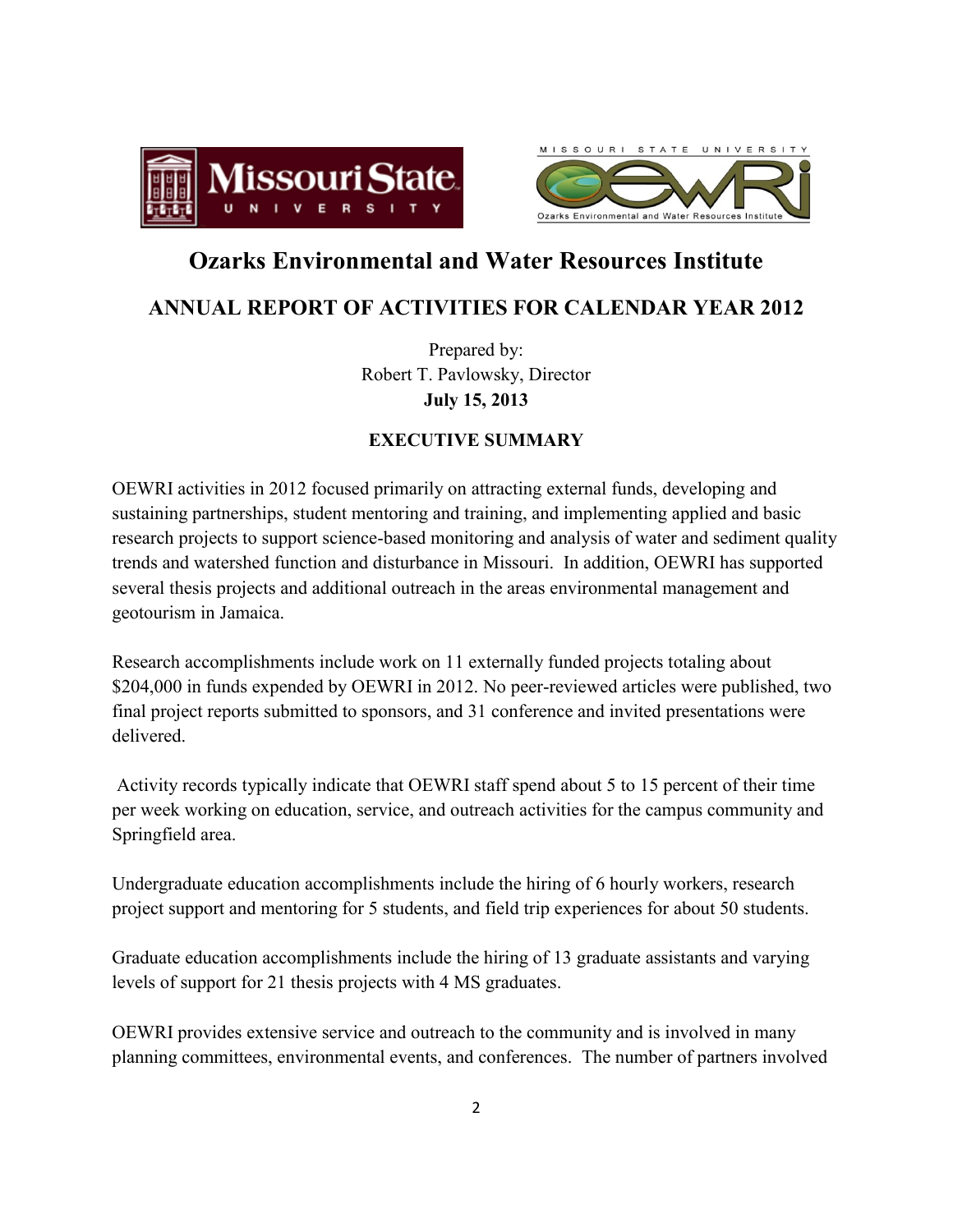



# **Ozarks Environmental and Water Resources Institute**

## **ANNUAL REPORT OF ACTIVITIES FOR CALENDAR YEAR 2012**

Prepared by: Robert T. Pavlowsky, Director **July 15, 2013**

## **EXECUTIVE SUMMARY**

OEWRI activities in 2012 focused primarily on attracting external funds, developing and sustaining partnerships, student mentoring and training, and implementing applied and basic research projects to support science-based monitoring and analysis of water and sediment quality trends and watershed function and disturbance in Missouri. In addition, OEWRI has supported several thesis projects and additional outreach in the areas environmental management and geotourism in Jamaica.

Research accomplishments include work on 11 externally funded projects totaling about \$204,000 in funds expended by OEWRI in 2012. No peer-reviewed articles were published, two final project reports submitted to sponsors, and 31 conference and invited presentations were delivered.

Activity records typically indicate that OEWRI staff spend about 5 to 15 percent of their time per week working on education, service, and outreach activities for the campus community and Springfield area.

Undergraduate education accomplishments include the hiring of 6 hourly workers, research project support and mentoring for 5 students, and field trip experiences for about 50 students.

Graduate education accomplishments include the hiring of 13 graduate assistants and varying levels of support for 21 thesis projects with 4 MS graduates.

OEWRI provides extensive service and outreach to the community and is involved in many planning committees, environmental events, and conferences. The number of partners involved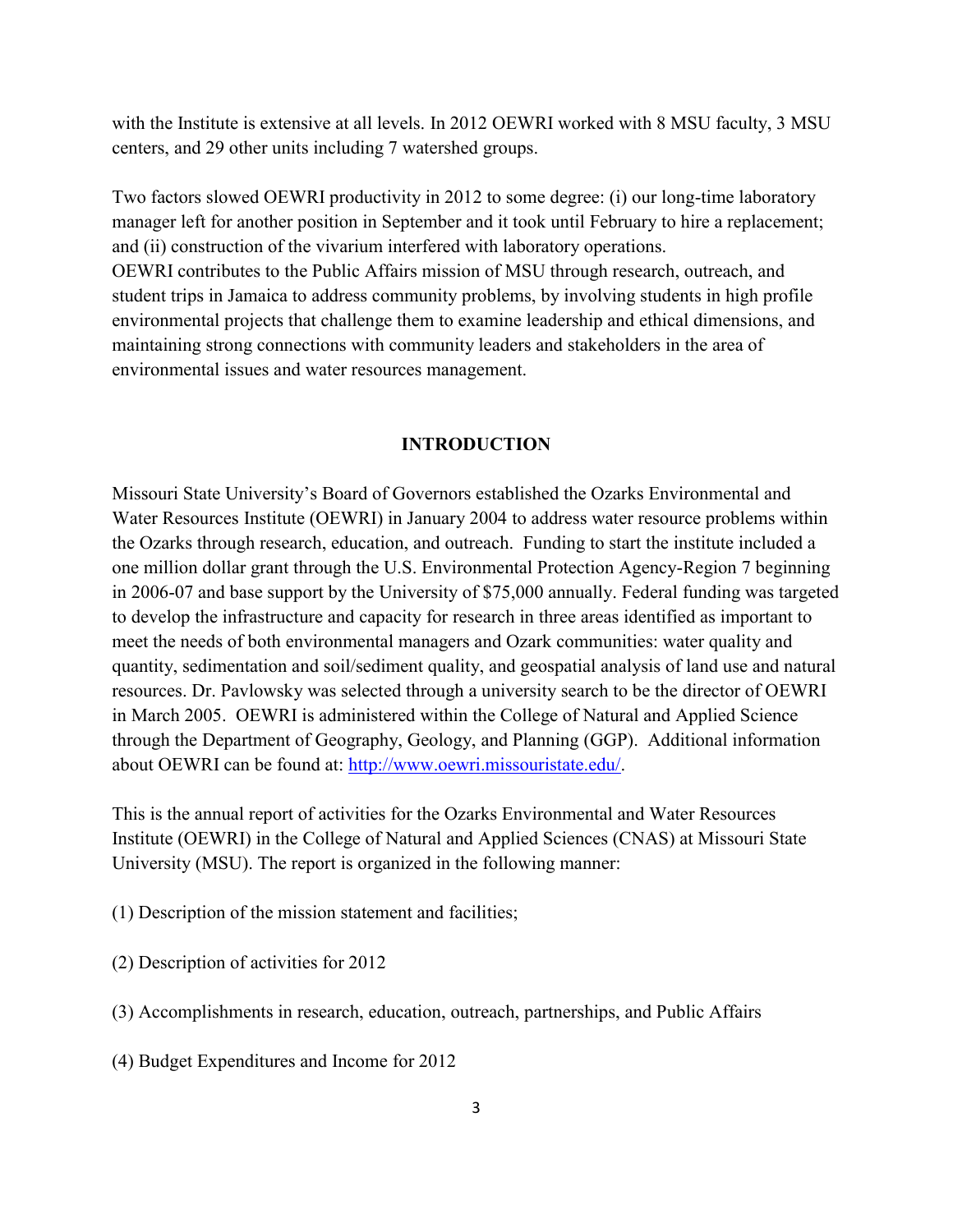with the Institute is extensive at all levels. In 2012 OEWRI worked with 8 MSU faculty, 3 MSU centers, and 29 other units including 7 watershed groups.

Two factors slowed OEWRI productivity in 2012 to some degree: (i) our long-time laboratory manager left for another position in September and it took until February to hire a replacement; and (ii) construction of the vivarium interfered with laboratory operations.

OEWRI contributes to the Public Affairs mission of MSU through research, outreach, and student trips in Jamaica to address community problems, by involving students in high profile environmental projects that challenge them to examine leadership and ethical dimensions, and maintaining strong connections with community leaders and stakeholders in the area of environmental issues and water resources management.

#### **INTRODUCTION**

Missouri State University's Board of Governors established the Ozarks Environmental and Water Resources Institute (OEWRI) in January 2004 to address water resource problems within the Ozarks through research, education, and outreach. Funding to start the institute included a one million dollar grant through the U.S. Environmental Protection Agency-Region 7 beginning in 2006-07 and base support by the University of \$75,000 annually. Federal funding was targeted to develop the infrastructure and capacity for research in three areas identified as important to meet the needs of both environmental managers and Ozark communities: water quality and quantity, sedimentation and soil/sediment quality, and geospatial analysis of land use and natural resources. Dr. Pavlowsky was selected through a university search to be the director of OEWRI in March 2005. OEWRI is administered within the College of Natural and Applied Science through the Department of Geography, Geology, and Planning (GGP). Additional information about OEWRI can be found at: [http://www.oewri.missouristate.edu/.](http://www.oewri.missouristate.edu/)

This is the annual report of activities for the Ozarks Environmental and Water Resources Institute (OEWRI) in the College of Natural and Applied Sciences (CNAS) at Missouri State University (MSU). The report is organized in the following manner:

- (1) Description of the mission statement and facilities;
- (2) Description of activities for 2012
- (3) Accomplishments in research, education, outreach, partnerships, and Public Affairs
- (4) Budget Expenditures and Income for 2012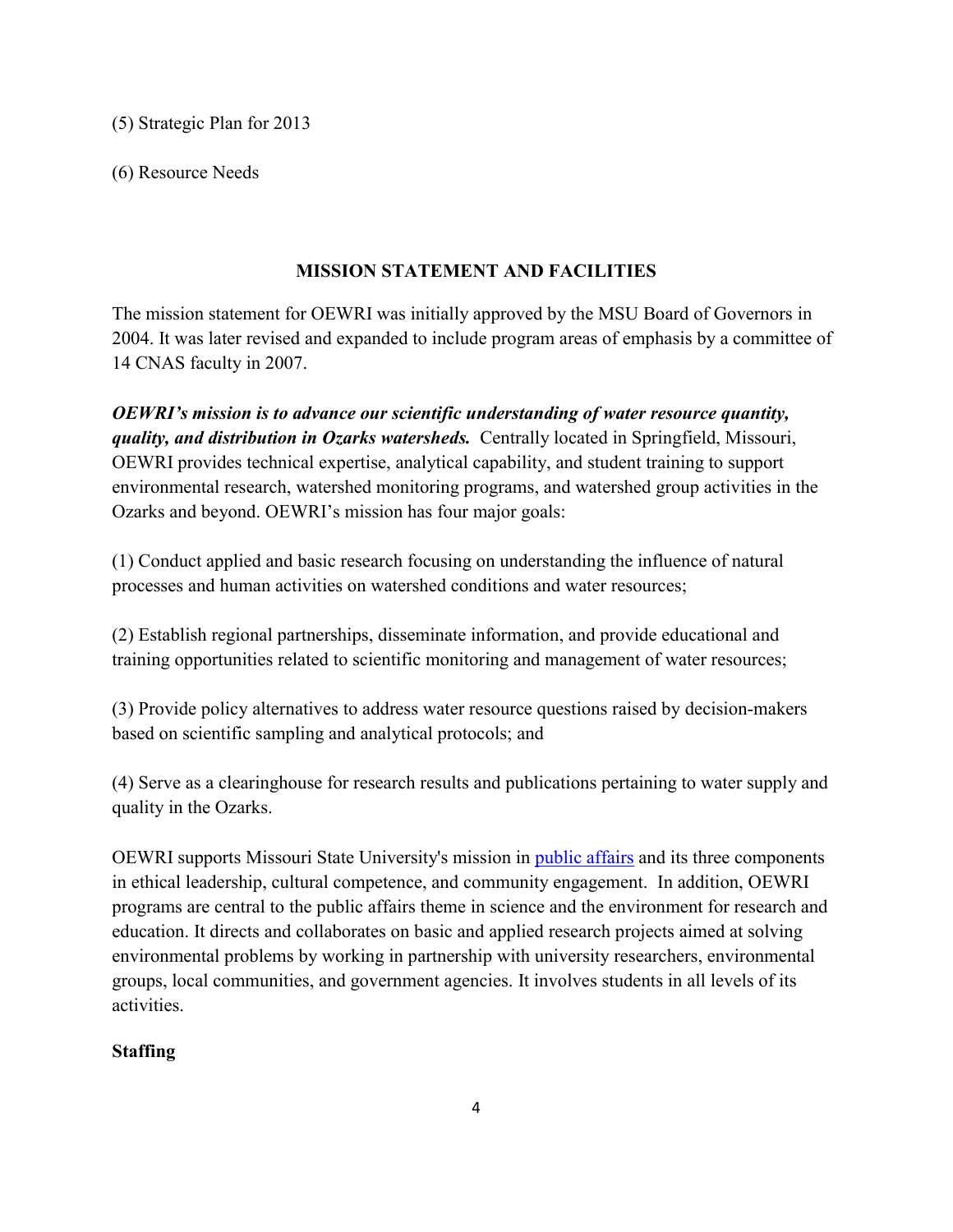(5) Strategic Plan for 2013

(6) Resource Needs

## **MISSION STATEMENT AND FACILITIES**

The mission statement for OEWRI was initially approved by the MSU Board of Governors in 2004. It was later revised and expanded to include program areas of emphasis by a committee of 14 CNAS faculty in 2007.

*OEWRI's mission is to advance our scientific understanding of water resource quantity, quality, and distribution in Ozarks watersheds.* Centrally located in Springfield, Missouri, OEWRI provides technical expertise, analytical capability, and student training to support environmental research, watershed monitoring programs, and watershed group activities in the Ozarks and beyond. OEWRI's mission has four major goals:

(1) Conduct applied and basic research focusing on understanding the influence of natural processes and human activities on watershed conditions and water resources;

(2) Establish regional partnerships, disseminate information, and provide educational and training opportunities related to scientific monitoring and management of water resources;

(3) Provide policy alternatives to address water resource questions raised by decision-makers based on scientific sampling and analytical protocols; and

(4) Serve as a clearinghouse for research results and publications pertaining to water supply and quality in the Ozarks.

OEWRI supports Missouri State University's mission in [public affairs](http://publicaffairs.missouristate.edu/) and its three components in ethical leadership, cultural competence, and community engagement. In addition, OEWRI programs are central to the public affairs theme in science and the environment for research and education. It directs and collaborates on basic and applied research projects aimed at solving environmental problems by working in partnership with university researchers, environmental groups, local communities, and government agencies. It involves students in all levels of its activities.

## **Staffing**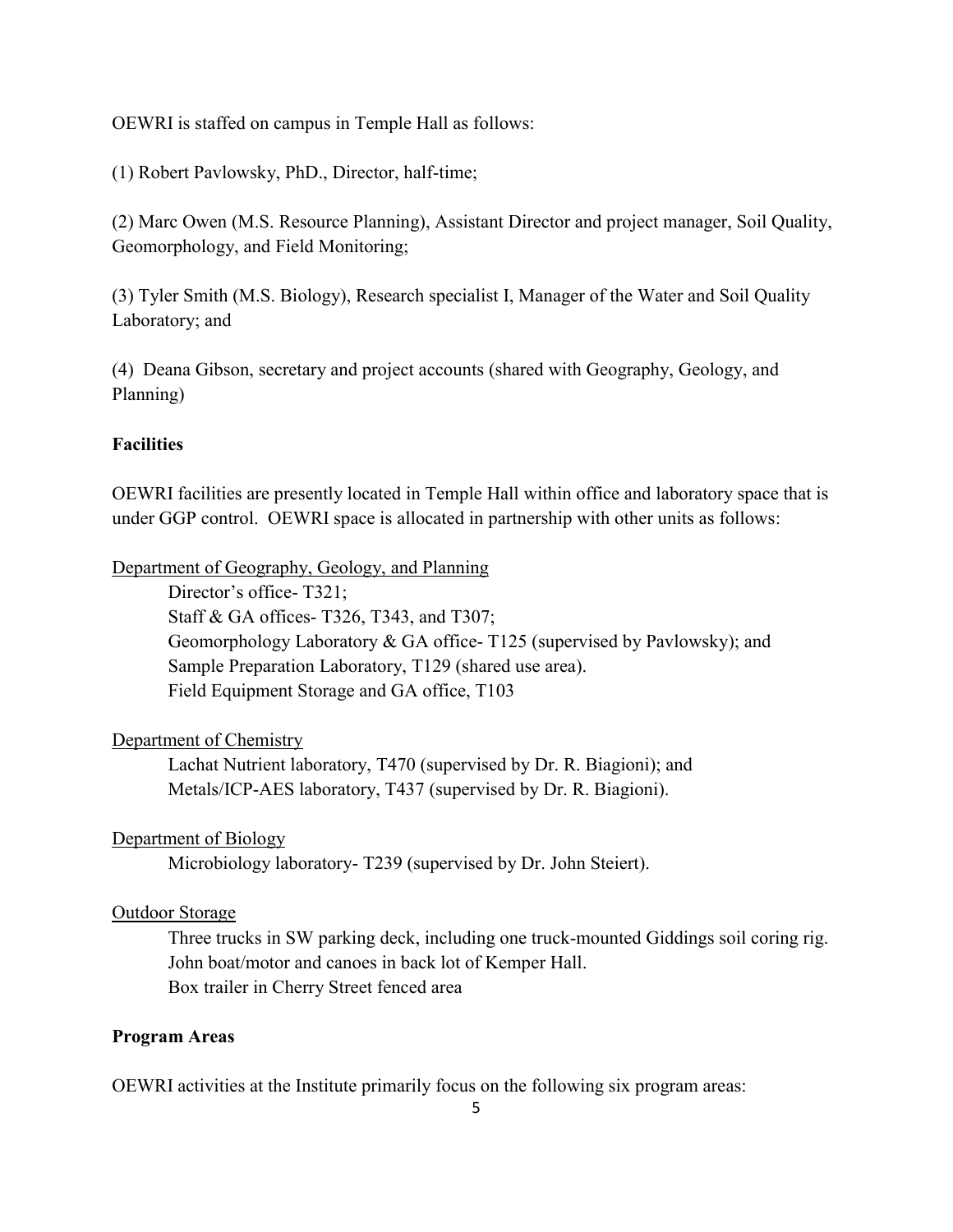OEWRI is staffed on campus in Temple Hall as follows:

(1) Robert Pavlowsky, PhD., Director, half-time;

(2) Marc Owen (M.S. Resource Planning), Assistant Director and project manager, Soil Quality, Geomorphology, and Field Monitoring;

(3) Tyler Smith (M.S. Biology), Research specialist I, Manager of the Water and Soil Quality Laboratory; and

(4) Deana Gibson, secretary and project accounts (shared with Geography, Geology, and Planning)

#### **Facilities**

OEWRI facilities are presently located in Temple Hall within office and laboratory space that is under GGP control. OEWRI space is allocated in partnership with other units as follows:

Department of Geography, Geology, and Planning

Director's office- T321; Staff & GA offices- T326, T343, and T307; Geomorphology Laboratory & GA office- T125 (supervised by Pavlowsky); and Sample Preparation Laboratory, T129 (shared use area). Field Equipment Storage and GA office, T103

#### Department of Chemistry

Lachat Nutrient laboratory, T470 (supervised by Dr. R. Biagioni); and Metals/ICP-AES laboratory, T437 (supervised by Dr. R. Biagioni).

#### Department of Biology

Microbiology laboratory- T239 (supervised by Dr. John Steiert).

#### Outdoor Storage

Three trucks in SW parking deck, including one truck-mounted Giddings soil coring rig. John boat/motor and canoes in back lot of Kemper Hall. Box trailer in Cherry Street fenced area

#### **Program Areas**

OEWRI activities at the Institute primarily focus on the following six program areas: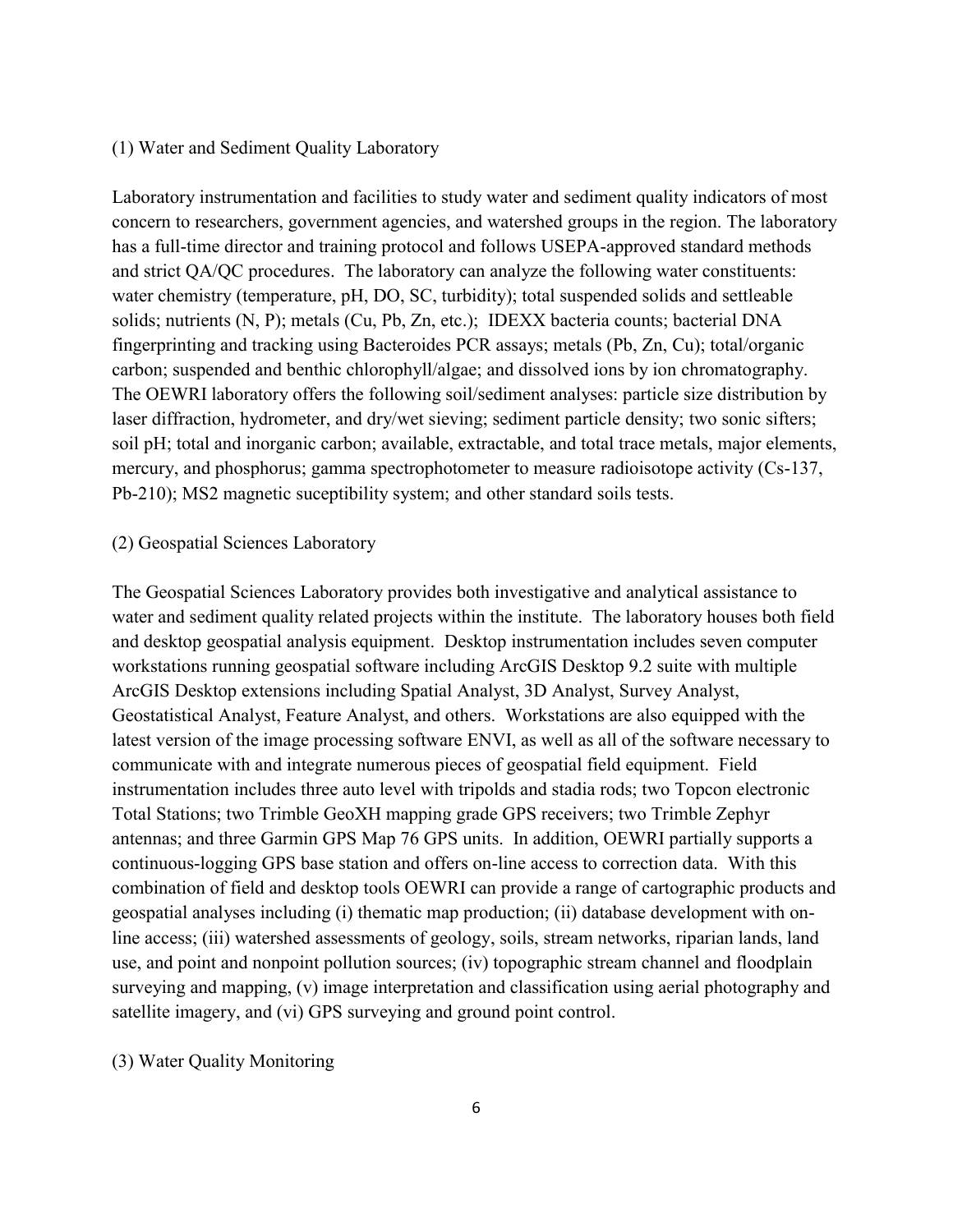#### (1) Water and Sediment Quality Laboratory

Laboratory instrumentation and facilities to study water and sediment quality indicators of most concern to researchers, government agencies, and watershed groups in the region. The laboratory has a full-time director and training protocol and follows USEPA-approved standard methods and strict QA/QC procedures. The laboratory can analyze the following water constituents: water chemistry (temperature, pH, DO, SC, turbidity); total suspended solids and settleable solids; nutrients (N, P); metals (Cu, Pb, Zn, etc.); IDEXX bacteria counts; bacterial DNA fingerprinting and tracking using Bacteroides PCR assays; metals (Pb, Zn, Cu); total/organic carbon; suspended and benthic chlorophyll/algae; and dissolved ions by ion chromatography. The OEWRI laboratory offers the following soil/sediment analyses: particle size distribution by laser diffraction, hydrometer, and dry/wet sieving; sediment particle density; two sonic sifters; soil pH; total and inorganic carbon; available, extractable, and total trace metals, major elements, mercury, and phosphorus; gamma spectrophotometer to measure radioisotope activity (Cs-137, Pb-210); MS2 magnetic suceptibility system; and other standard soils tests.

#### (2) Geospatial Sciences Laboratory

The Geospatial Sciences Laboratory provides both investigative and analytical assistance to water and sediment quality related projects within the institute. The laboratory houses both field and desktop geospatial analysis equipment. Desktop instrumentation includes seven computer workstations running geospatial software including ArcGIS Desktop 9.2 suite with multiple ArcGIS Desktop extensions including Spatial Analyst, 3D Analyst, Survey Analyst, Geostatistical Analyst, Feature Analyst, and others. Workstations are also equipped with the latest version of the image processing software ENVI, as well as all of the software necessary to communicate with and integrate numerous pieces of geospatial field equipment. Field instrumentation includes three auto level with tripolds and stadia rods; two Topcon electronic Total Stations; two Trimble GeoXH mapping grade GPS receivers; two Trimble Zephyr antennas; and three Garmin GPS Map 76 GPS units. In addition, OEWRI partially supports a continuous-logging GPS base station and offers on-line access to correction data. With this combination of field and desktop tools OEWRI can provide a range of cartographic products and geospatial analyses including (i) thematic map production; (ii) database development with online access; (iii) watershed assessments of geology, soils, stream networks, riparian lands, land use, and point and nonpoint pollution sources; (iv) topographic stream channel and floodplain surveying and mapping, (v) image interpretation and classification using aerial photography and satellite imagery, and (vi) GPS surveying and ground point control.

(3) Water Quality Monitoring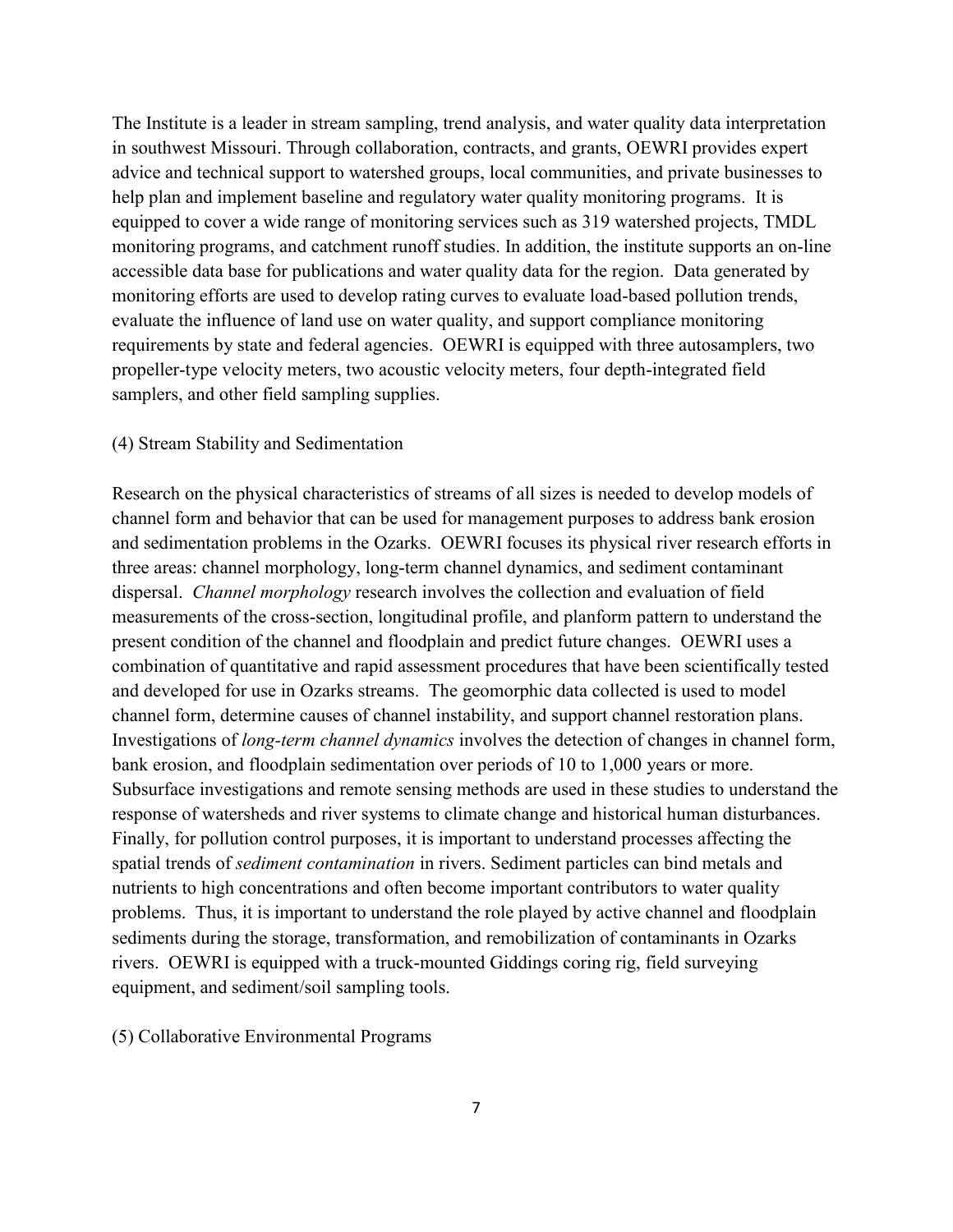The Institute is a leader in stream sampling, trend analysis, and water quality data interpretation in southwest Missouri. Through collaboration, contracts, and grants, OEWRI provides expert advice and technical support to watershed groups, local communities, and private businesses to help plan and implement baseline and regulatory water quality monitoring programs. It is equipped to cover a wide range of monitoring services such as 319 watershed projects, TMDL monitoring programs, and catchment runoff studies. In addition, the institute supports an on-line accessible data base for publications and water quality data for the region. Data generated by monitoring efforts are used to develop rating curves to evaluate load-based pollution trends, evaluate the influence of land use on water quality, and support compliance monitoring requirements by state and federal agencies. OEWRI is equipped with three autosamplers, two propeller-type velocity meters, two acoustic velocity meters, four depth-integrated field samplers, and other field sampling supplies.

#### (4) Stream Stability and Sedimentation

Research on the physical characteristics of streams of all sizes is needed to develop models of channel form and behavior that can be used for management purposes to address bank erosion and sedimentation problems in the Ozarks. OEWRI focuses its physical river research efforts in three areas: channel morphology, long-term channel dynamics, and sediment contaminant dispersal. *Channel morphology* research involves the collection and evaluation of field measurements of the cross-section, longitudinal profile, and planform pattern to understand the present condition of the channel and floodplain and predict future changes. OEWRI uses a combination of quantitative and rapid assessment procedures that have been scientifically tested and developed for use in Ozarks streams. The geomorphic data collected is used to model channel form, determine causes of channel instability, and support channel restoration plans. Investigations of *long-term channel dynamics* involves the detection of changes in channel form, bank erosion, and floodplain sedimentation over periods of 10 to 1,000 years or more. Subsurface investigations and remote sensing methods are used in these studies to understand the response of watersheds and river systems to climate change and historical human disturbances. Finally, for pollution control purposes, it is important to understand processes affecting the spatial trends of *sediment contamination* in rivers. Sediment particles can bind metals and nutrients to high concentrations and often become important contributors to water quality problems. Thus, it is important to understand the role played by active channel and floodplain sediments during the storage, transformation, and remobilization of contaminants in Ozarks rivers. OEWRI is equipped with a truck-mounted Giddings coring rig, field surveying equipment, and sediment/soil sampling tools.

(5) Collaborative Environmental Programs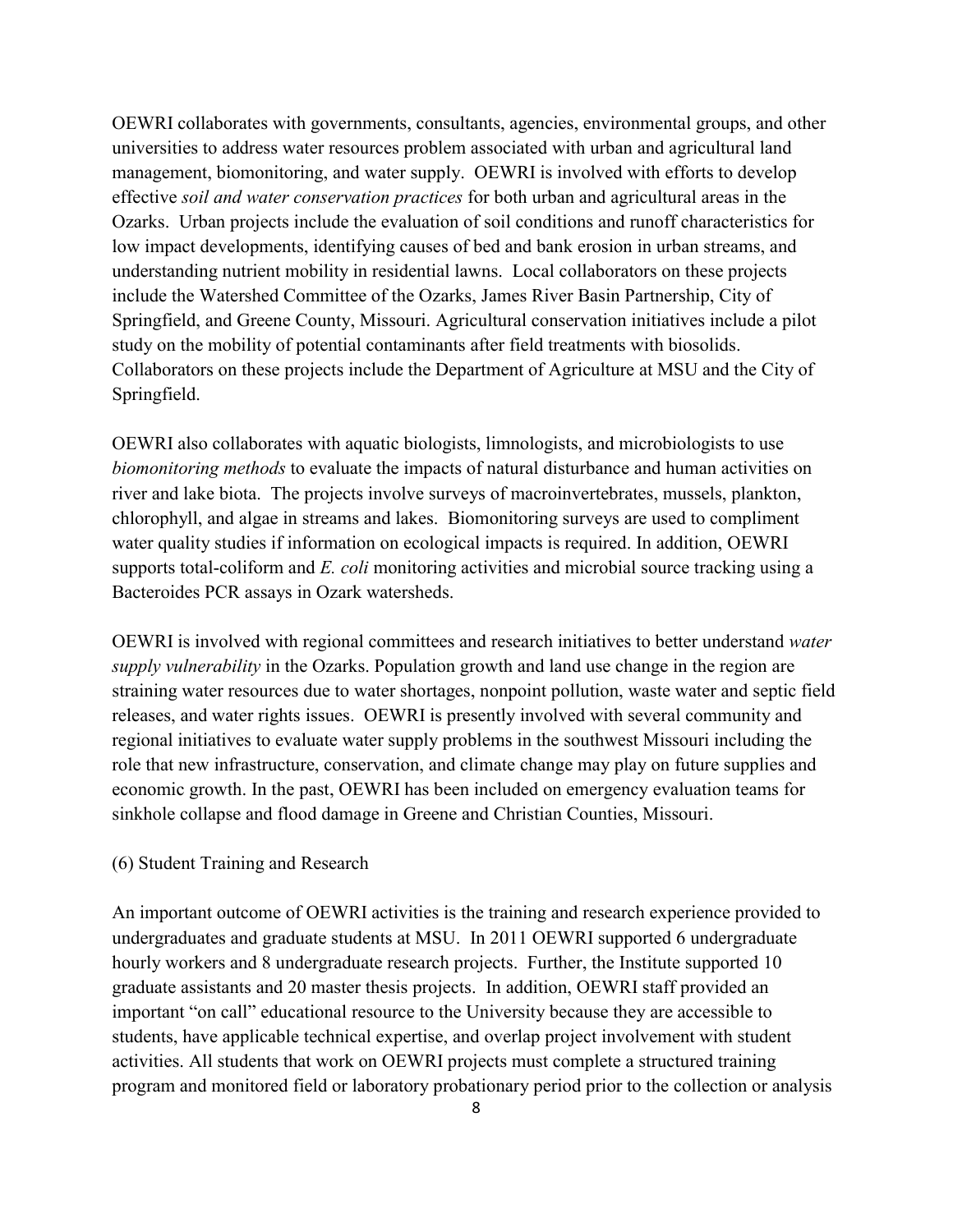OEWRI collaborates with governments, consultants, agencies, environmental groups, and other universities to address water resources problem associated with urban and agricultural land management, biomonitoring, and water supply. OEWRI is involved with efforts to develop effective *soil and water conservation practices* for both urban and agricultural areas in the Ozarks. Urban projects include the evaluation of soil conditions and runoff characteristics for low impact developments, identifying causes of bed and bank erosion in urban streams, and understanding nutrient mobility in residential lawns. Local collaborators on these projects include the Watershed Committee of the Ozarks, James River Basin Partnership, City of Springfield, and Greene County, Missouri. Agricultural conservation initiatives include a pilot study on the mobility of potential contaminants after field treatments with biosolids. Collaborators on these projects include the Department of Agriculture at MSU and the City of Springfield.

OEWRI also collaborates with aquatic biologists, limnologists, and microbiologists to use *biomonitoring methods* to evaluate the impacts of natural disturbance and human activities on river and lake biota. The projects involve surveys of macroinvertebrates, mussels, plankton, chlorophyll, and algae in streams and lakes. Biomonitoring surveys are used to compliment water quality studies if information on ecological impacts is required. In addition, OEWRI supports total-coliform and *E. coli* monitoring activities and microbial source tracking using a Bacteroides PCR assays in Ozark watersheds.

OEWRI is involved with regional committees and research initiatives to better understand *water supply vulnerability* in the Ozarks. Population growth and land use change in the region are straining water resources due to water shortages, nonpoint pollution, waste water and septic field releases, and water rights issues. OEWRI is presently involved with several community and regional initiatives to evaluate water supply problems in the southwest Missouri including the role that new infrastructure, conservation, and climate change may play on future supplies and economic growth. In the past, OEWRI has been included on emergency evaluation teams for sinkhole collapse and flood damage in Greene and Christian Counties, Missouri.

#### (6) Student Training and Research

An important outcome of OEWRI activities is the training and research experience provided to undergraduates and graduate students at MSU. In 2011 OEWRI supported 6 undergraduate hourly workers and 8 undergraduate research projects. Further, the Institute supported 10 graduate assistants and 20 master thesis projects. In addition, OEWRI staff provided an important "on call" educational resource to the University because they are accessible to students, have applicable technical expertise, and overlap project involvement with student activities. All students that work on OEWRI projects must complete a structured training program and monitored field or laboratory probationary period prior to the collection or analysis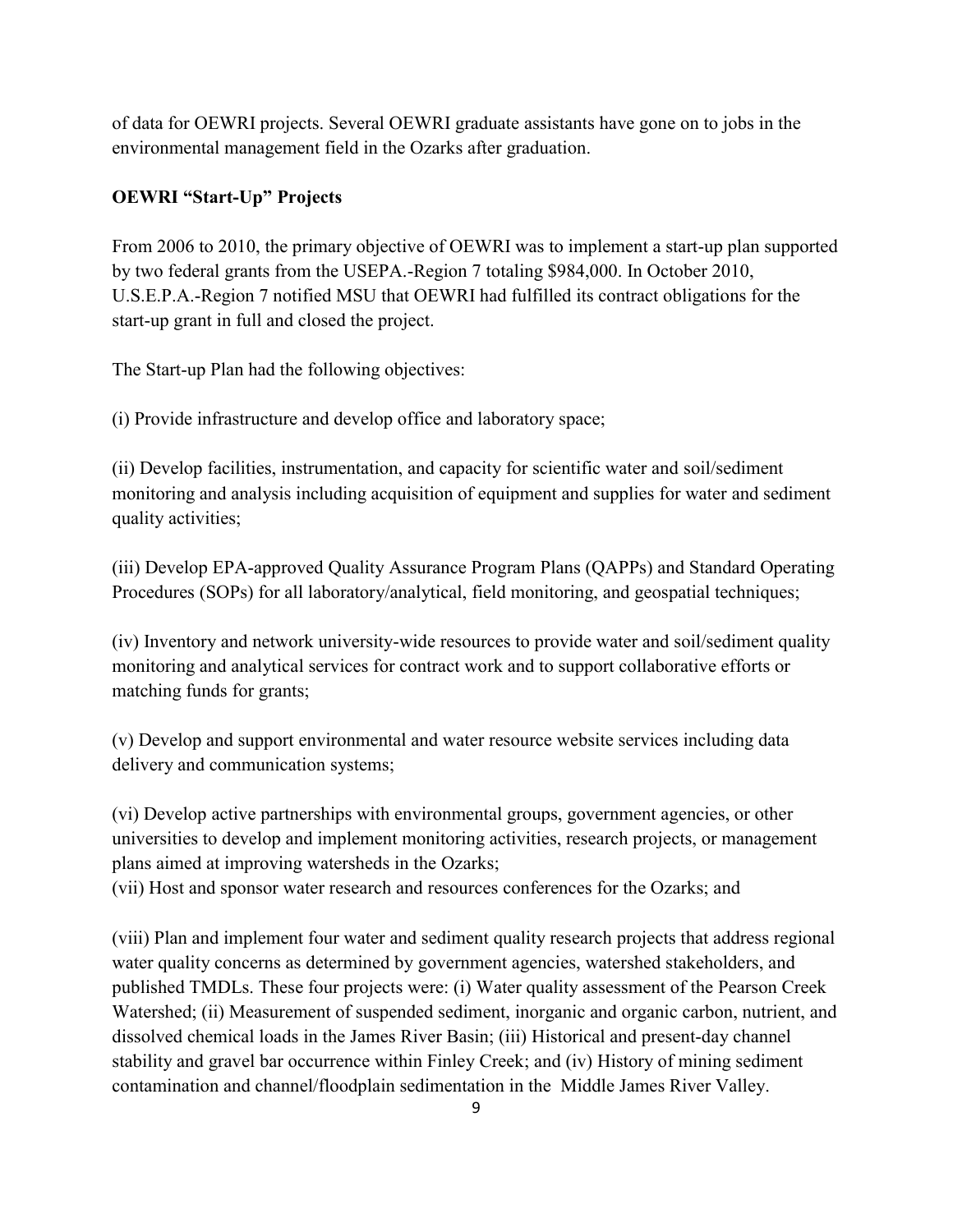of data for OEWRI projects. Several OEWRI graduate assistants have gone on to jobs in the environmental management field in the Ozarks after graduation.

## **OEWRI "Start-Up" Projects**

From 2006 to 2010, the primary objective of OEWRI was to implement a start-up plan supported by two federal grants from the USEPA.-Region 7 totaling \$984,000. In October 2010, U.S.E.P.A.-Region 7 notified MSU that OEWRI had fulfilled its contract obligations for the start-up grant in full and closed the project.

The Start-up Plan had the following objectives:

(i) Provide infrastructure and develop office and laboratory space;

(ii) Develop facilities, instrumentation, and capacity for scientific water and soil/sediment monitoring and analysis including acquisition of equipment and supplies for water and sediment quality activities;

(iii) Develop EPA-approved Quality Assurance Program Plans (QAPPs) and Standard Operating Procedures (SOPs) for all laboratory/analytical, field monitoring, and geospatial techniques;

(iv) Inventory and network university-wide resources to provide water and soil/sediment quality monitoring and analytical services for contract work and to support collaborative efforts or matching funds for grants;

(v) Develop and support environmental and water resource website services including data delivery and communication systems;

(vi) Develop active partnerships with environmental groups, government agencies, or other universities to develop and implement monitoring activities, research projects, or management plans aimed at improving watersheds in the Ozarks;

(vii) Host and sponsor water research and resources conferences for the Ozarks; and

(viii) Plan and implement four water and sediment quality research projects that address regional water quality concerns as determined by government agencies, watershed stakeholders, and published TMDLs. These four projects were: (i) Water quality assessment of the Pearson Creek Watershed; (ii) Measurement of suspended sediment, inorganic and organic carbon, nutrient, and dissolved chemical loads in the James River Basin; (iii) Historical and present-day channel stability and gravel bar occurrence within Finley Creek; and (iv) History of mining sediment contamination and channel/floodplain sedimentation in the Middle James River Valley.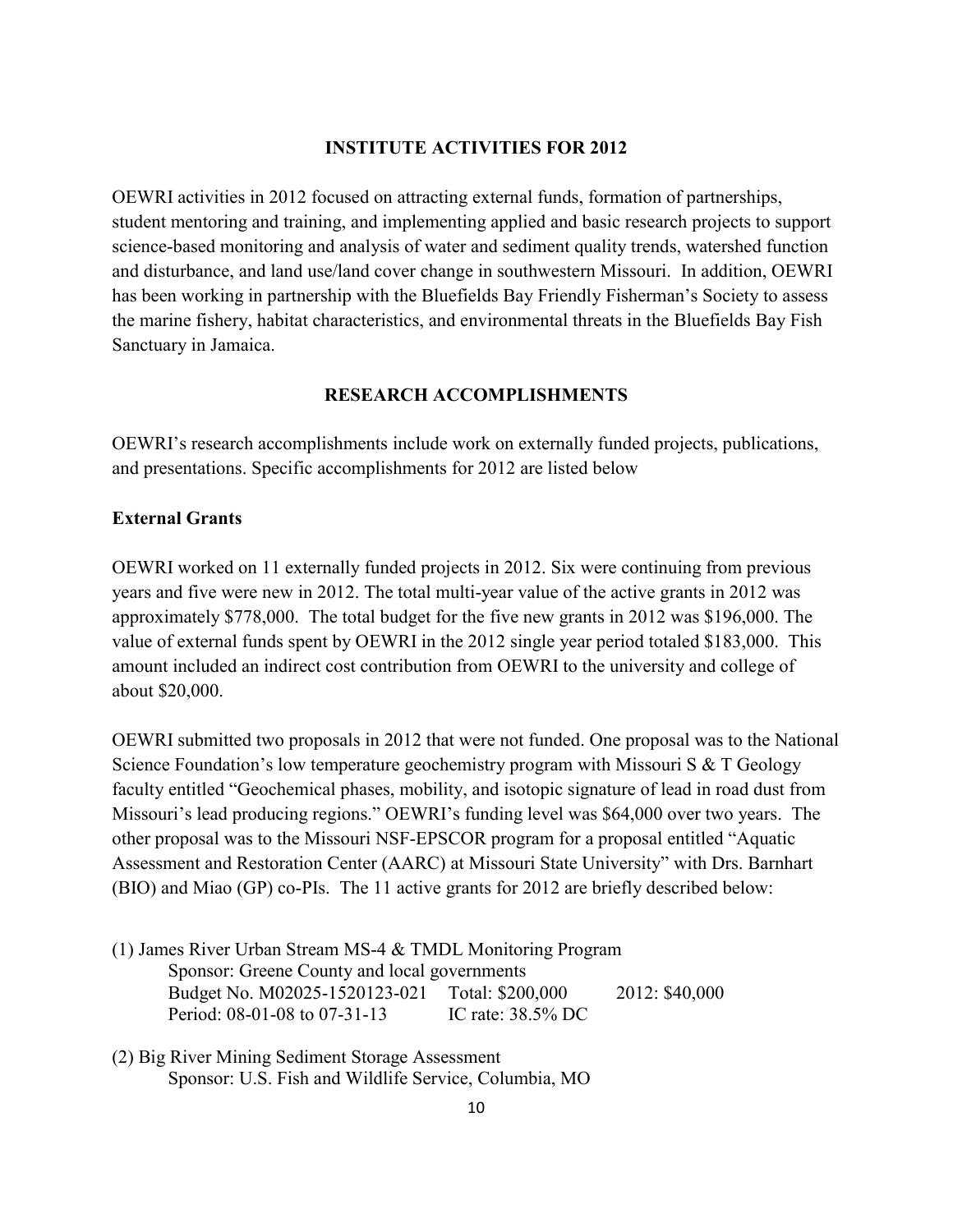#### **INSTITUTE ACTIVITIES FOR 2012**

OEWRI activities in 2012 focused on attracting external funds, formation of partnerships, student mentoring and training, and implementing applied and basic research projects to support science-based monitoring and analysis of water and sediment quality trends, watershed function and disturbance, and land use/land cover change in southwestern Missouri. In addition, OEWRI has been working in partnership with the Bluefields Bay Friendly Fisherman's Society to assess the marine fishery, habitat characteristics, and environmental threats in the Bluefields Bay Fish Sanctuary in Jamaica.

#### **RESEARCH ACCOMPLISHMENTS**

OEWRI's research accomplishments include work on externally funded projects, publications, and presentations. Specific accomplishments for 2012 are listed below

#### **External Grants**

OEWRI worked on 11 externally funded projects in 2012. Six were continuing from previous years and five were new in 2012. The total multi-year value of the active grants in 2012 was approximately \$778,000. The total budget for the five new grants in 2012 was \$196,000. The value of external funds spent by OEWRI in the 2012 single year period totaled \$183,000. This amount included an indirect cost contribution from OEWRI to the university and college of about \$20,000.

OEWRI submitted two proposals in 2012 that were not funded. One proposal was to the National Science Foundation's low temperature geochemistry program with Missouri S & T Geology faculty entitled "Geochemical phases, mobility, and isotopic signature of lead in road dust from Missouri's lead producing regions." OEWRI's funding level was \$64,000 over two years. The other proposal was to the Missouri NSF-EPSCOR program for a proposal entitled "Aquatic Assessment and Restoration Center (AARC) at Missouri State University" with Drs. Barnhart (BIO) and Miao (GP) co-PIs. The 11 active grants for 2012 are briefly described below:

- (1) James River Urban Stream MS-4 & TMDL Monitoring Program Sponsor: Greene County and local governments Budget No. M02025-1520123-021 Total: \$200,000 2012: \$40,000 Period: 08-01-08 to 07-31-13 IC rate: 38.5% DC
- (2) Big River Mining Sediment Storage Assessment Sponsor: U.S. Fish and Wildlife Service, Columbia, MO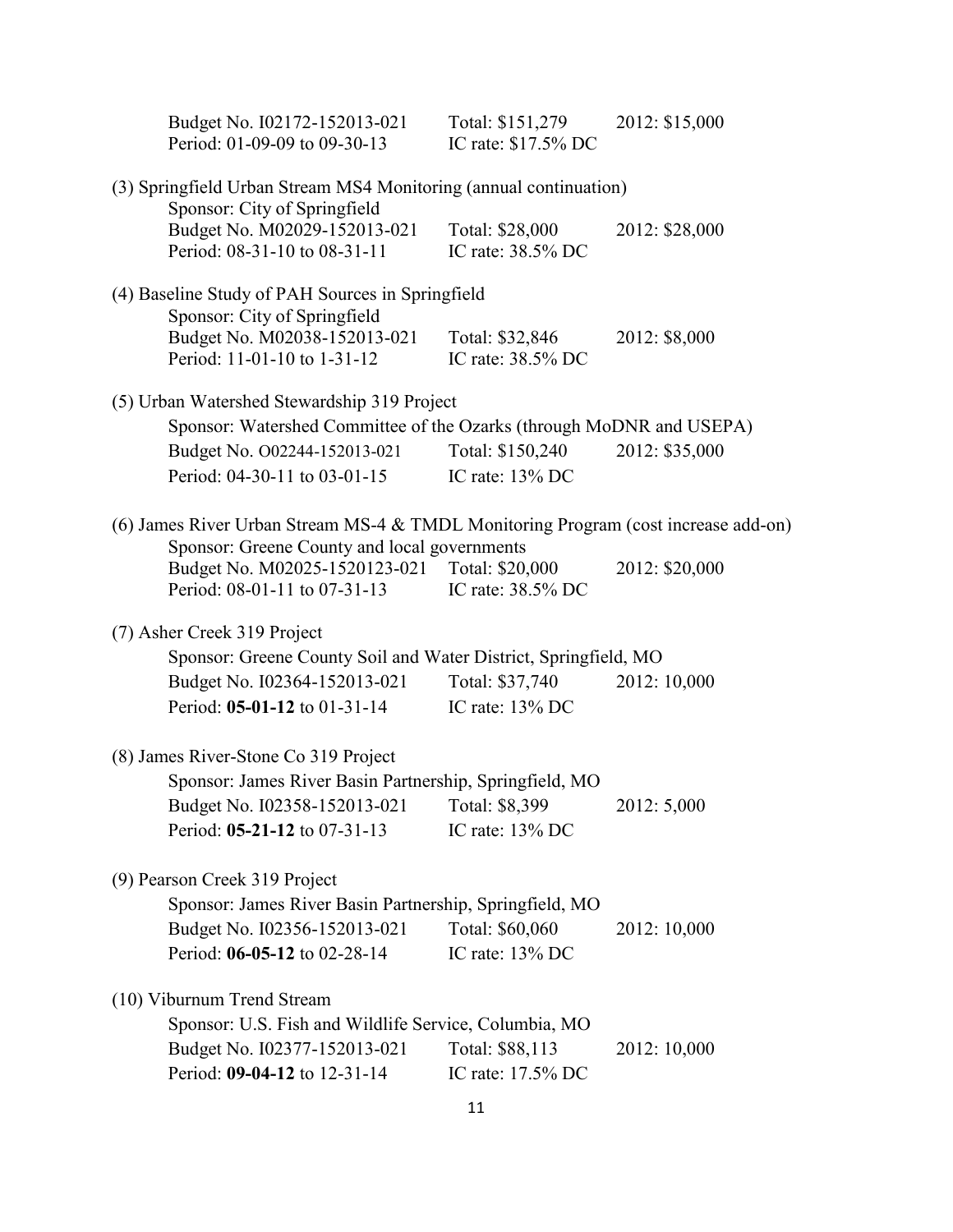|                                      | Budget No. I02172-152013-021<br>Period: 01-09-09 to 09-30-13                                      | Total: \$151,279<br>IC rate: \$17.5% DC | 2012: \$15,000                                                                     |
|--------------------------------------|---------------------------------------------------------------------------------------------------|-----------------------------------------|------------------------------------------------------------------------------------|
|                                      | (3) Springfield Urban Stream MS4 Monitoring (annual continuation)<br>Sponsor: City of Springfield |                                         |                                                                                    |
|                                      | Budget No. M02029-152013-021<br>Period: 08-31-10 to 08-31-11                                      | Total: \$28,000<br>IC rate: 38.5% DC    | 2012: \$28,000                                                                     |
|                                      | (4) Baseline Study of PAH Sources in Springfield                                                  |                                         |                                                                                    |
|                                      | Sponsor: City of Springfield<br>Budget No. M02038-152013-021<br>Period: 11-01-10 to 1-31-12       | Total: \$32,846<br>IC rate: 38.5% DC    | 2012: \$8,000                                                                      |
|                                      | (5) Urban Watershed Stewardship 319 Project                                                       |                                         |                                                                                    |
|                                      | Sponsor: Watershed Committee of the Ozarks (through MoDNR and USEPA)                              |                                         |                                                                                    |
|                                      | Budget No. 002244-152013-021<br>Period: 04-30-11 to 03-01-15                                      | Total: \$150,240<br>IC rate: 13% DC     | 2012: \$35,000                                                                     |
|                                      |                                                                                                   |                                         |                                                                                    |
|                                      | Sponsor: Greene County and local governments                                                      |                                         | (6) James River Urban Stream MS-4 & TMDL Monitoring Program (cost increase add-on) |
|                                      | Budget No. M02025-1520123-021 Total: \$20,000<br>Period: 08-01-11 to 07-31-13                     | IC rate: 38.5% DC                       | 2012: \$20,000                                                                     |
| (7) Asher Creek 319 Project          |                                                                                                   |                                         |                                                                                    |
|                                      | Sponsor: Greene County Soil and Water District, Springfield, MO                                   |                                         |                                                                                    |
|                                      | Budget No. I02364-152013-021<br>Period: 05-01-12 to 01-31-14                                      | Total: \$37,740<br>IC rate: 13% DC      | 2012: 10,000                                                                       |
| (8) James River-Stone Co 319 Project |                                                                                                   |                                         |                                                                                    |
|                                      | Sponsor: James River Basin Partnership, Springfield, MO                                           |                                         |                                                                                    |
|                                      | Budget No. I02358-152013-021                                                                      | Total: \$8,399                          | 2012: 5,000                                                                        |
|                                      | Period: 05-21-12 to 07-31-13                                                                      | IC rate: $13\%$ DC                      |                                                                                    |
| (9) Pearson Creek 319 Project        |                                                                                                   |                                         |                                                                                    |
|                                      | Sponsor: James River Basin Partnership, Springfield, MO                                           |                                         |                                                                                    |
|                                      | Budget No. I02356-152013-021<br>Period: 06-05-12 to 02-28-14                                      | Total: \$60,060<br>IC rate: 13% DC      | 2012: 10,000                                                                       |
| (10) Viburnum Trend Stream           |                                                                                                   |                                         |                                                                                    |
|                                      | Sponsor: U.S. Fish and Wildlife Service, Columbia, MO                                             |                                         |                                                                                    |
|                                      | Budget No. I02377-152013-021                                                                      | Total: \$88,113                         | 2012: 10,000                                                                       |
|                                      | Period: 09-04-12 to 12-31-14                                                                      | IC rate: 17.5% DC                       |                                                                                    |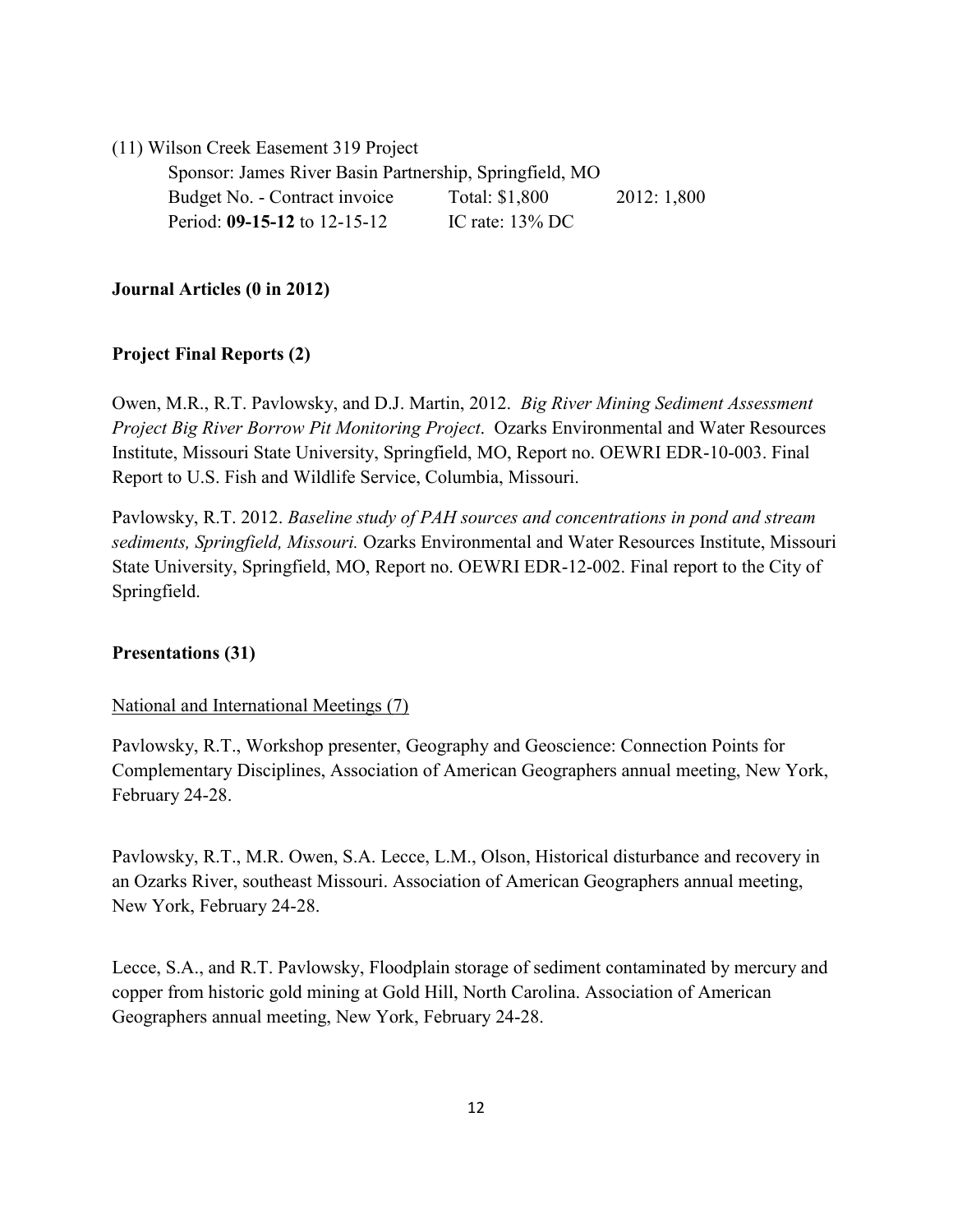(11) Wilson Creek Easement 319 Project

Sponsor: James River Basin Partnership, Springfield, MO Budget No. - Contract invoice Total: \$1,800 2012: 1,800 Period: **09-15-12** to 12-15-12 IC rate: 13% DC

#### **Journal Articles (0 in 2012)**

#### **Project Final Reports (2)**

Owen, M.R., R.T. Pavlowsky, and D.J. Martin, 2012. *Big River Mining Sediment Assessment Project Big River Borrow Pit Monitoring Project*. Ozarks Environmental and Water Resources Institute, Missouri State University, Springfield, MO, Report no. OEWRI EDR-10-003. Final Report to U.S. Fish and Wildlife Service, Columbia, Missouri.

Pavlowsky, R.T. 2012. *Baseline study of PAH sources and concentrations in pond and stream sediments, Springfield, Missouri.* Ozarks Environmental and Water Resources Institute, Missouri State University, Springfield, MO, Report no. OEWRI EDR-12-002. Final report to the City of Springfield.

#### **Presentations (31)**

#### National and International Meetings (7)

Pavlowsky, R.T., Workshop presenter, Geography and Geoscience: Connection Points for Complementary Disciplines, Association of American Geographers annual meeting, New York, February 24-28.

Pavlowsky, R.T., M.R. Owen, S.A. Lecce, L.M., Olson, Historical disturbance and recovery in an Ozarks River, southeast Missouri. Association of American Geographers annual meeting, New York, February 24-28.

Lecce, S.A., and R.T. Pavlowsky, Floodplain storage of sediment contaminated by mercury and copper from historic gold mining at Gold Hill, North Carolina. Association of American Geographers annual meeting, New York, February 24-28.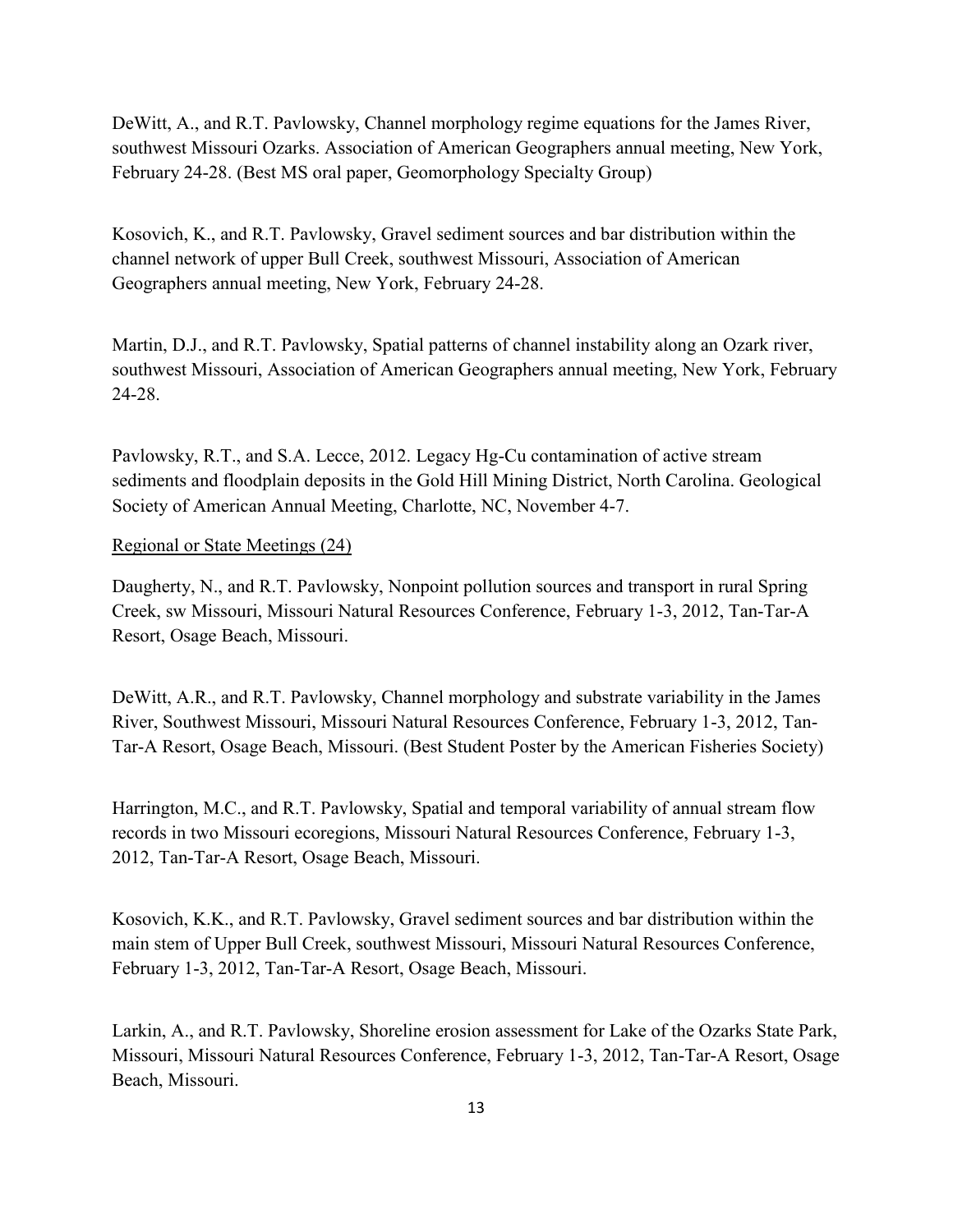DeWitt, A., and R.T. Pavlowsky, Channel morphology regime equations for the James River, southwest Missouri Ozarks. Association of American Geographers annual meeting, New York, February 24-28. (Best MS oral paper, Geomorphology Specialty Group)

Kosovich, K., and R.T. Pavlowsky, Gravel sediment sources and bar distribution within the channel network of upper Bull Creek, southwest Missouri, Association of American Geographers annual meeting, New York, February 24-28.

Martin, D.J., and R.T. Pavlowsky, Spatial patterns of channel instability along an Ozark river, southwest Missouri, Association of American Geographers annual meeting, New York, February 24-28.

Pavlowsky, R.T., and S.A. Lecce, 2012. Legacy Hg-Cu contamination of active stream sediments and floodplain deposits in the Gold Hill Mining District, North Carolina. Geological Society of American Annual Meeting, Charlotte, NC, November 4-7.

#### Regional or State Meetings (24)

Daugherty, N., and R.T. Pavlowsky, Nonpoint pollution sources and transport in rural Spring Creek, sw Missouri, Missouri Natural Resources Conference, February 1-3, 2012, Tan-Tar-A Resort, Osage Beach, Missouri.

DeWitt, A.R., and R.T. Pavlowsky, Channel morphology and substrate variability in the James River, Southwest Missouri, Missouri Natural Resources Conference, February 1-3, 2012, Tan-Tar-A Resort, Osage Beach, Missouri. (Best Student Poster by the American Fisheries Society)

Harrington, M.C., and R.T. Pavlowsky, Spatial and temporal variability of annual stream flow records in two Missouri ecoregions, Missouri Natural Resources Conference, February 1-3, 2012, Tan-Tar-A Resort, Osage Beach, Missouri.

Kosovich, K.K., and R.T. Pavlowsky, Gravel sediment sources and bar distribution within the main stem of Upper Bull Creek, southwest Missouri, Missouri Natural Resources Conference, February 1-3, 2012, Tan-Tar-A Resort, Osage Beach, Missouri.

Larkin, A., and R.T. Pavlowsky, Shoreline erosion assessment for Lake of the Ozarks State Park, Missouri, Missouri Natural Resources Conference, February 1-3, 2012, Tan-Tar-A Resort, Osage Beach, Missouri.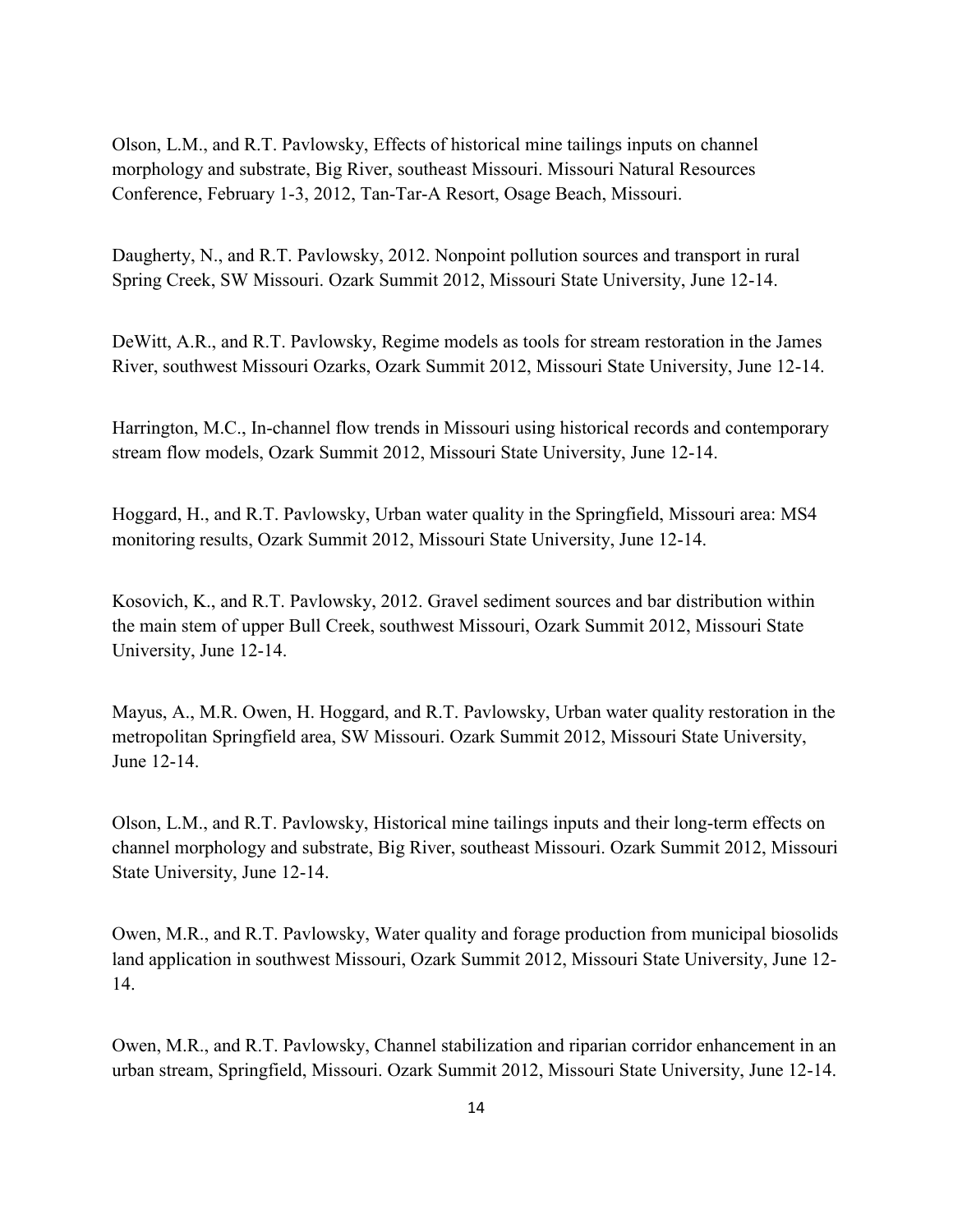Olson, L.M., and R.T. Pavlowsky, Effects of historical mine tailings inputs on channel morphology and substrate, Big River, southeast Missouri. Missouri Natural Resources Conference, February 1-3, 2012, Tan-Tar-A Resort, Osage Beach, Missouri.

Daugherty, N., and R.T. Pavlowsky, 2012. Nonpoint pollution sources and transport in rural Spring Creek, SW Missouri. Ozark Summit 2012, Missouri State University, June 12-14.

DeWitt, A.R., and R.T. Pavlowsky, Regime models as tools for stream restoration in the James River, southwest Missouri Ozarks, Ozark Summit 2012, Missouri State University, June 12-14.

Harrington, M.C., In-channel flow trends in Missouri using historical records and contemporary stream flow models, Ozark Summit 2012, Missouri State University, June 12-14.

Hoggard, H., and R.T. Pavlowsky, Urban water quality in the Springfield, Missouri area: MS4 monitoring results, Ozark Summit 2012, Missouri State University, June 12-14.

Kosovich, K., and R.T. Pavlowsky, 2012. Gravel sediment sources and bar distribution within the main stem of upper Bull Creek, southwest Missouri, Ozark Summit 2012, Missouri State University, June 12-14.

Mayus, A., M.R. Owen, H. Hoggard, and R.T. Pavlowsky, Urban water quality restoration in the metropolitan Springfield area, SW Missouri. Ozark Summit 2012, Missouri State University, June 12-14.

Olson, L.M., and R.T. Pavlowsky, Historical mine tailings inputs and their long-term effects on channel morphology and substrate, Big River, southeast Missouri. Ozark Summit 2012, Missouri State University, June 12-14.

Owen, M.R., and R.T. Pavlowsky, Water quality and forage production from municipal biosolids land application in southwest Missouri, Ozark Summit 2012, Missouri State University, June 12- 14.

Owen, M.R., and R.T. Pavlowsky, Channel stabilization and riparian corridor enhancement in an urban stream, Springfield, Missouri. Ozark Summit 2012, Missouri State University, June 12-14.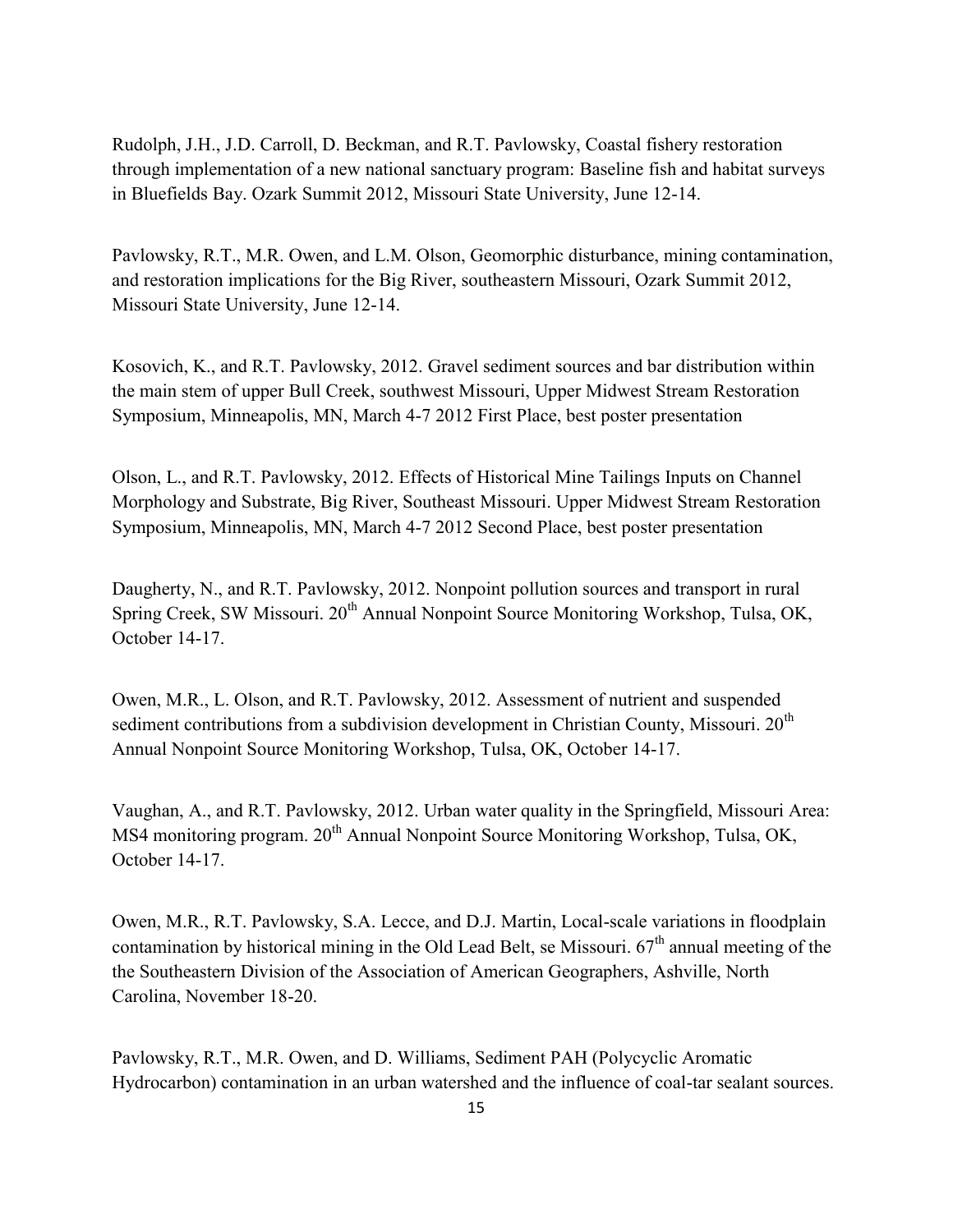Rudolph, J.H., J.D. Carroll, D. Beckman, and R.T. Pavlowsky, Coastal fishery restoration through implementation of a new national sanctuary program: Baseline fish and habitat surveys in Bluefields Bay. Ozark Summit 2012, Missouri State University, June 12-14.

Pavlowsky, R.T., M.R. Owen, and L.M. Olson, Geomorphic disturbance, mining contamination, and restoration implications for the Big River, southeastern Missouri, Ozark Summit 2012, Missouri State University, June 12-14.

Kosovich, K., and R.T. Pavlowsky, 2012. Gravel sediment sources and bar distribution within the main stem of upper Bull Creek, southwest Missouri, Upper Midwest Stream Restoration Symposium, Minneapolis, MN, March 4-7 2012 First Place, best poster presentation

Olson, L., and R.T. Pavlowsky, 2012. Effects of Historical Mine Tailings Inputs on Channel Morphology and Substrate, Big River, Southeast Missouri. Upper Midwest Stream Restoration Symposium, Minneapolis, MN, March 4-7 2012 Second Place, best poster presentation

Daugherty, N., and R.T. Pavlowsky, 2012. Nonpoint pollution sources and transport in rural Spring Creek, SW Missouri. 20<sup>th</sup> Annual Nonpoint Source Monitoring Workshop, Tulsa, OK, October 14-17.

Owen, M.R., L. Olson, and R.T. Pavlowsky, 2012. Assessment of nutrient and suspended sediment contributions from a subdivision development in Christian County, Missouri.  $20<sup>th</sup>$ Annual Nonpoint Source Monitoring Workshop, Tulsa, OK, October 14-17.

Vaughan, A., and R.T. Pavlowsky, 2012. Urban water quality in the Springfield, Missouri Area: MS4 monitoring program. 20<sup>th</sup> Annual Nonpoint Source Monitoring Workshop, Tulsa, OK, October 14-17.

Owen, M.R., R.T. Pavlowsky, S.A. Lecce, and D.J. Martin, Local-scale variations in floodplain contamination by historical mining in the Old Lead Belt, se Missouri.  $67<sup>th</sup>$  annual meeting of the the Southeastern Division of the Association of American Geographers, Ashville, North Carolina, November 18-20.

Pavlowsky, R.T., M.R. Owen, and D. Williams, Sediment PAH (Polycyclic Aromatic Hydrocarbon) contamination in an urban watershed and the influence of coal-tar sealant sources.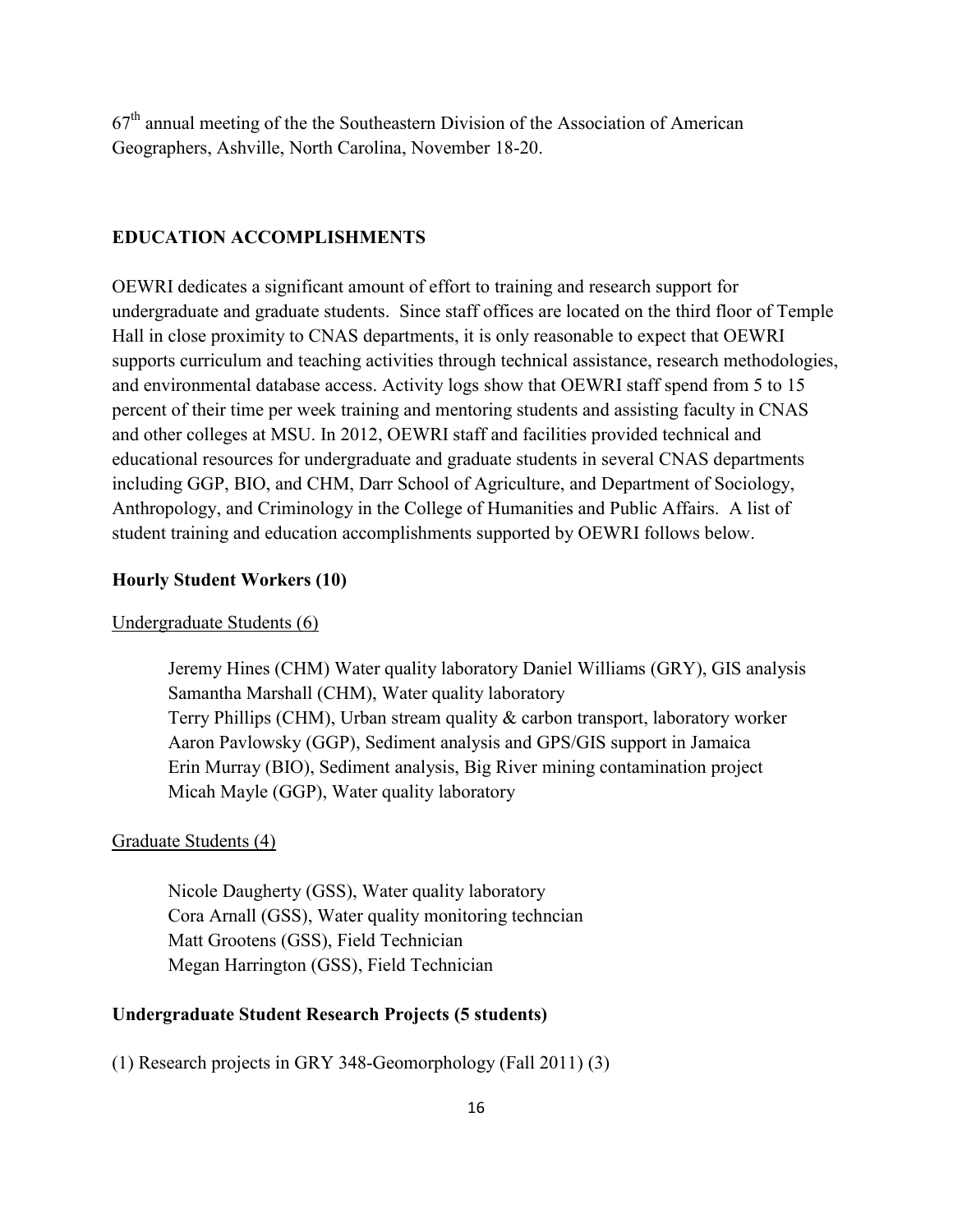$67<sup>th</sup>$  annual meeting of the the Southeastern Division of the Association of American Geographers, Ashville, North Carolina, November 18-20.

#### **EDUCATION ACCOMPLISHMENTS**

OEWRI dedicates a significant amount of effort to training and research support for undergraduate and graduate students. Since staff offices are located on the third floor of Temple Hall in close proximity to CNAS departments, it is only reasonable to expect that OEWRI supports curriculum and teaching activities through technical assistance, research methodologies, and environmental database access. Activity logs show that OEWRI staff spend from 5 to 15 percent of their time per week training and mentoring students and assisting faculty in CNAS and other colleges at MSU. In 2012, OEWRI staff and facilities provided technical and educational resources for undergraduate and graduate students in several CNAS departments including GGP, BIO, and CHM, Darr School of Agriculture, and Department of Sociology, Anthropology, and Criminology in the College of Humanities and Public Affairs. A list of student training and education accomplishments supported by OEWRI follows below.

#### **Hourly Student Workers (10)**

#### Undergraduate Students (6)

Jeremy Hines (CHM) Water quality laboratory Daniel Williams (GRY), GIS analysis Samantha Marshall (CHM), Water quality laboratory Terry Phillips (CHM), Urban stream quality & carbon transport, laboratory worker Aaron Pavlowsky (GGP), Sediment analysis and GPS/GIS support in Jamaica Erin Murray (BIO), Sediment analysis, Big River mining contamination project Micah Mayle (GGP), Water quality laboratory

#### Graduate Students (4)

Nicole Daugherty (GSS), Water quality laboratory Cora Arnall (GSS), Water quality monitoring techncian Matt Grootens (GSS), Field Technician Megan Harrington (GSS), Field Technician

#### **Undergraduate Student Research Projects (5 students)**

(1) Research projects in GRY 348-Geomorphology (Fall 2011) (3)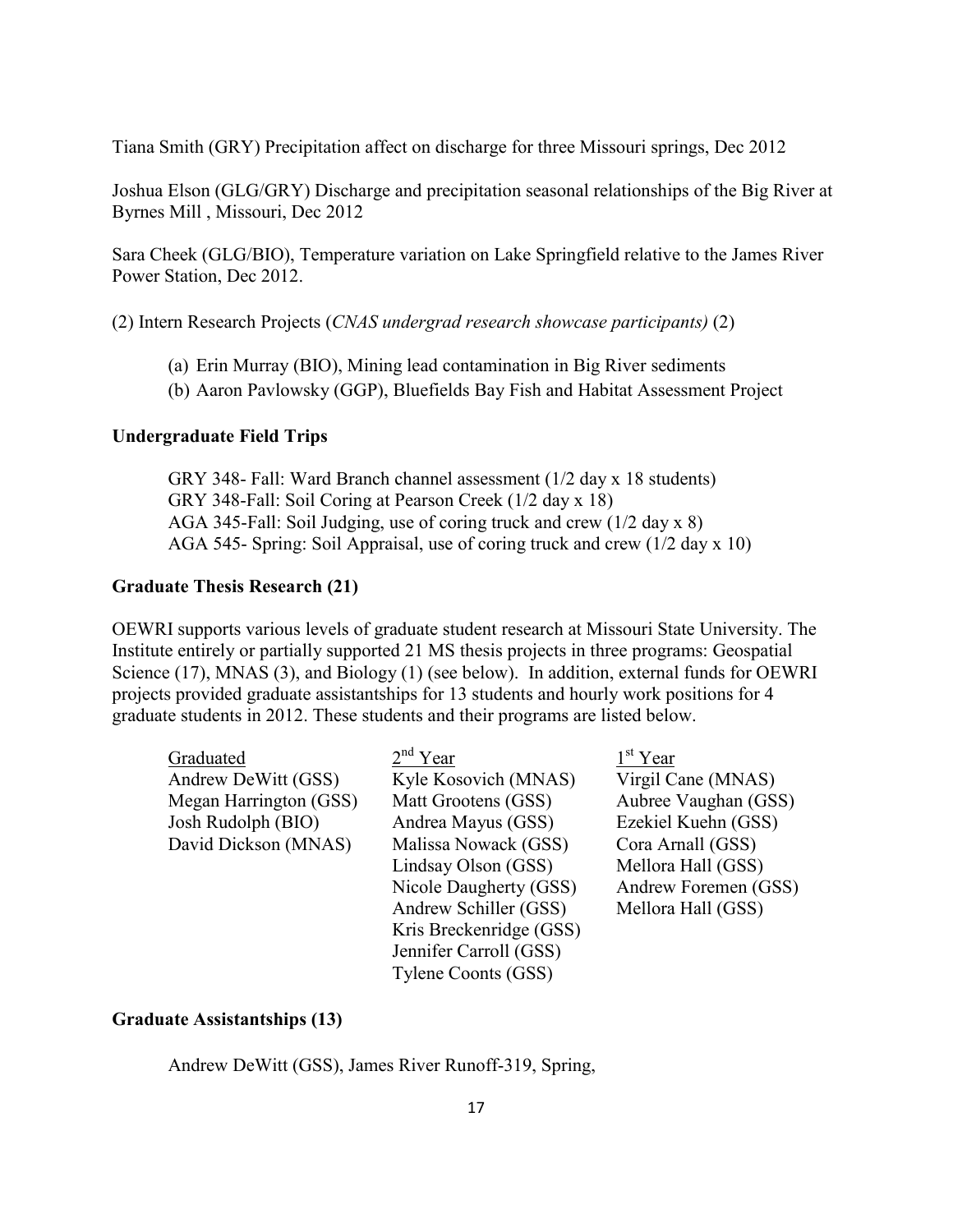Tiana Smith (GRY) Precipitation affect on discharge for three Missouri springs, Dec 2012

Joshua Elson (GLG/GRY) Discharge and precipitation seasonal relationships of the Big River at Byrnes Mill , Missouri, Dec 2012

Sara Cheek (GLG/BIO), Temperature variation on Lake Springfield relative to the James River Power Station, Dec 2012.

(2) Intern Research Projects (*CNAS undergrad research showcase participants)* (2)

- (a) Erin Murray (BIO), Mining lead contamination in Big River sediments
- (b) Aaron Pavlowsky (GGP), Bluefields Bay Fish and Habitat Assessment Project

#### **Undergraduate Field Trips**

GRY 348- Fall: Ward Branch channel assessment (1/2 day x 18 students) GRY 348-Fall: Soil Coring at Pearson Creek (1/2 day x 18) AGA 345-Fall: Soil Judging, use of coring truck and crew (1/2 day x 8) AGA 545- Spring: Soil Appraisal, use of coring truck and crew (1/2 day x 10)

#### **Graduate Thesis Research (21)**

OEWRI supports various levels of graduate student research at Missouri State University. The Institute entirely or partially supported 21 MS thesis projects in three programs: Geospatial Science (17), MNAS (3), and Biology (1) (see below). In addition, external funds for OEWRI projects provided graduate assistantships for 13 students and hourly work positions for 4 graduate students in 2012. These students and their programs are listed below.

| Graduated              | $2nd$ Year              | $1st$ Year           |
|------------------------|-------------------------|----------------------|
| Andrew DeWitt (GSS)    | Kyle Kosovich (MNAS)    | Virgil Cane (MNAS)   |
| Megan Harrington (GSS) | Matt Grootens (GSS)     | Aubree Vaughan (GSS) |
| Josh Rudolph (BIO)     | Andrea Mayus (GSS)      | Ezekiel Kuehn (GSS)  |
| David Dickson (MNAS)   | Malissa Nowack (GSS)    | Cora Arnall (GSS)    |
|                        | Lindsay Olson (GSS)     | Mellora Hall (GSS)   |
|                        | Nicole Daugherty (GSS)  | Andrew Foremen (GSS) |
|                        | Andrew Schiller (GSS)   | Mellora Hall (GSS)   |
|                        | Kris Breckenridge (GSS) |                      |
|                        | Jennifer Carroll (GSS)  |                      |
|                        | Tylene Coonts (GSS)     |                      |

#### **Graduate Assistantships (13)**

Andrew DeWitt (GSS), James River Runoff-319, Spring,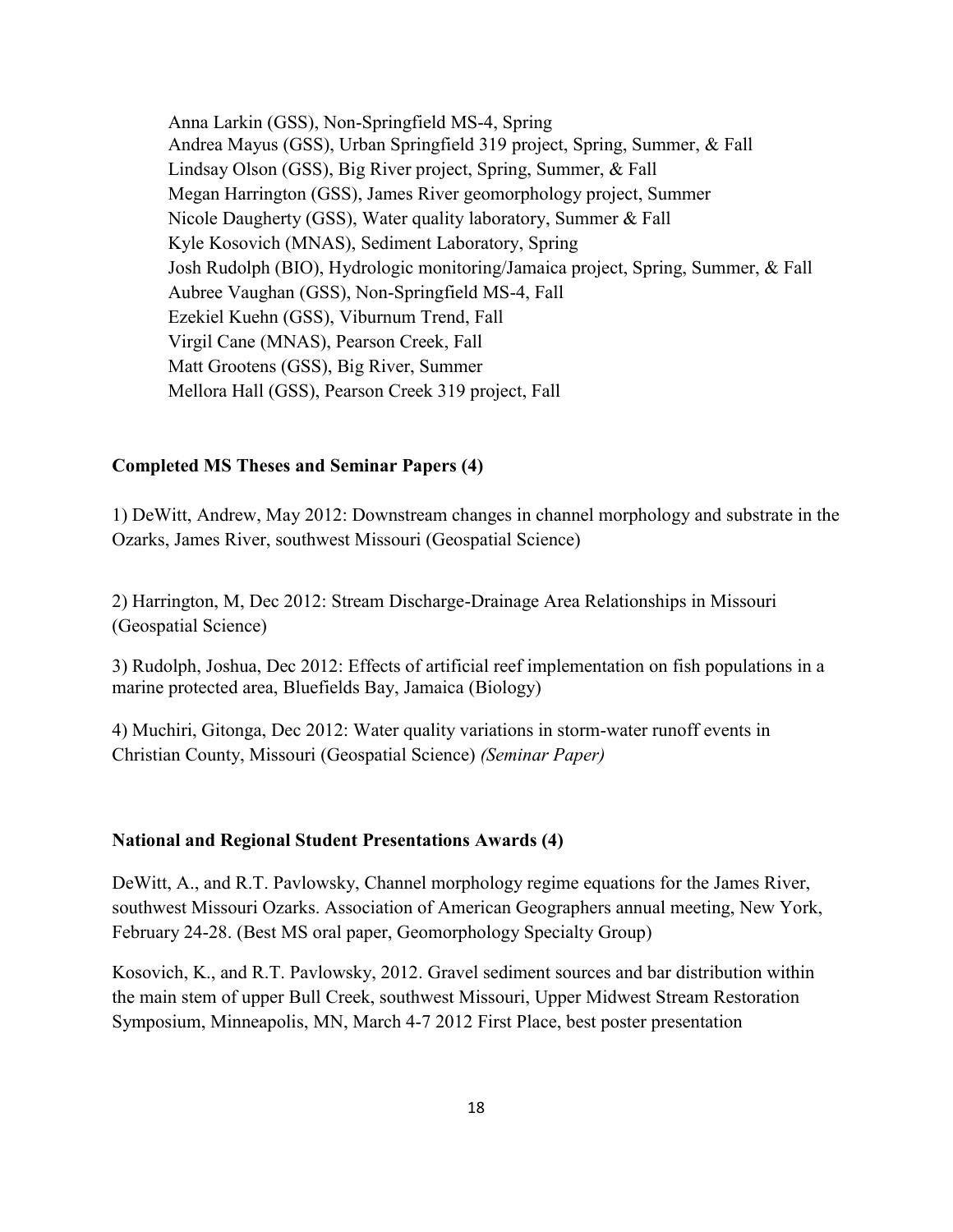Anna Larkin (GSS), Non-Springfield MS-4, Spring Andrea Mayus (GSS), Urban Springfield 319 project, Spring, Summer, & Fall Lindsay Olson (GSS), Big River project, Spring, Summer, & Fall Megan Harrington (GSS), James River geomorphology project, Summer Nicole Daugherty (GSS), Water quality laboratory, Summer & Fall Kyle Kosovich (MNAS), Sediment Laboratory, Spring Josh Rudolph (BIO), Hydrologic monitoring/Jamaica project, Spring, Summer, & Fall Aubree Vaughan (GSS), Non-Springfield MS-4, Fall Ezekiel Kuehn (GSS), Viburnum Trend, Fall Virgil Cane (MNAS), Pearson Creek, Fall Matt Grootens (GSS), Big River, Summer Mellora Hall (GSS), Pearson Creek 319 project, Fall

#### **Completed MS Theses and Seminar Papers (4)**

1) DeWitt, Andrew, May 2012: Downstream changes in channel morphology and substrate in the Ozarks, James River, southwest Missouri (Geospatial Science)

2) Harrington, M, Dec 2012: Stream Discharge-Drainage Area Relationships in Missouri (Geospatial Science)

3) Rudolph, Joshua, Dec 2012: Effects of artificial reef implementation on fish populations in a marine protected area, Bluefields Bay, Jamaica (Biology)

4) Muchiri, Gitonga, Dec 2012: Water quality variations in storm-water runoff events in Christian County, Missouri (Geospatial Science) *(Seminar Paper)*

#### **National and Regional Student Presentations Awards (4)**

DeWitt, A., and R.T. Pavlowsky, Channel morphology regime equations for the James River, southwest Missouri Ozarks. Association of American Geographers annual meeting, New York, February 24-28. (Best MS oral paper, Geomorphology Specialty Group)

Kosovich, K., and R.T. Pavlowsky, 2012. Gravel sediment sources and bar distribution within the main stem of upper Bull Creek, southwest Missouri, Upper Midwest Stream Restoration Symposium, Minneapolis, MN, March 4-7 2012 First Place, best poster presentation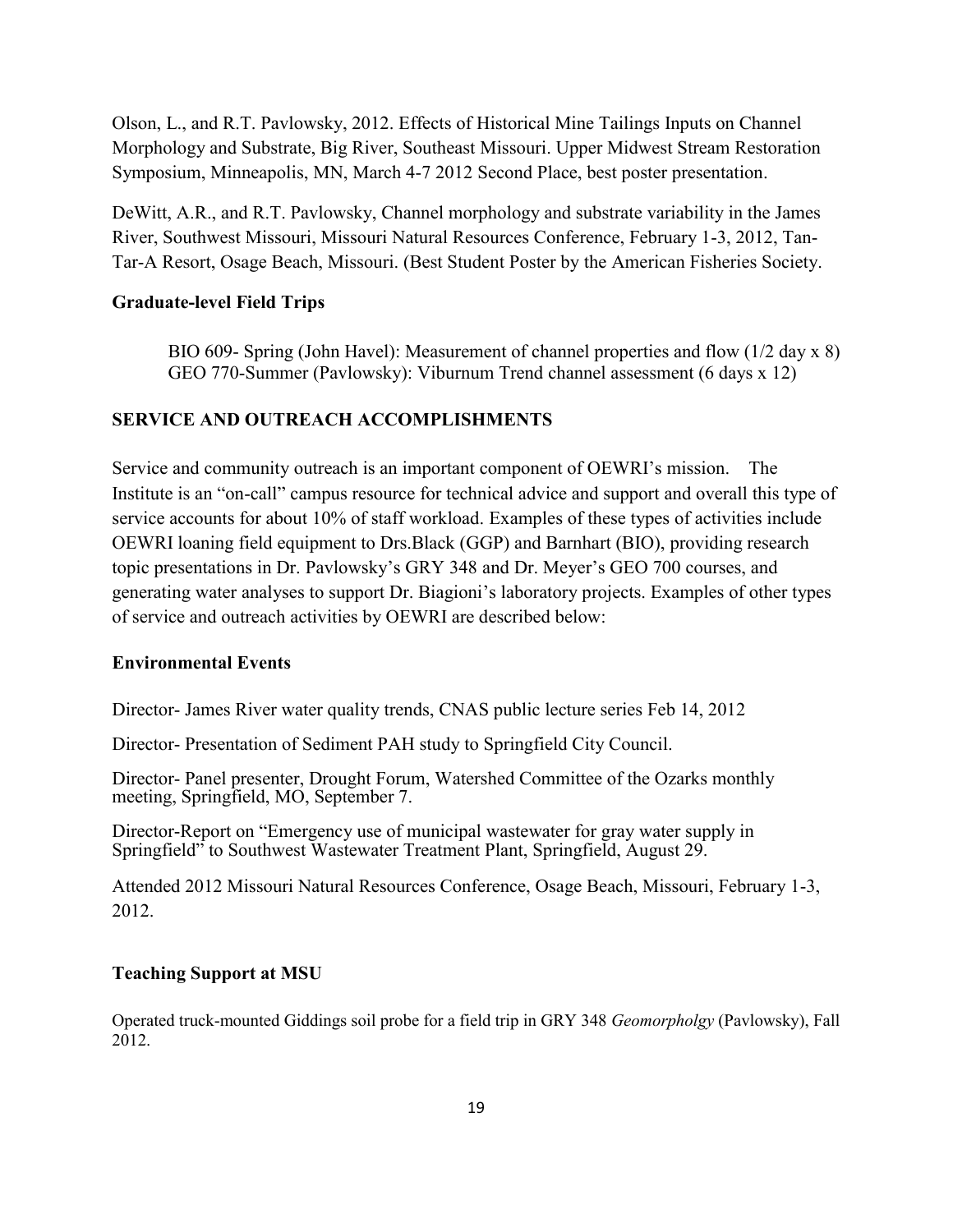Olson, L., and R.T. Pavlowsky, 2012. Effects of Historical Mine Tailings Inputs on Channel Morphology and Substrate, Big River, Southeast Missouri. Upper Midwest Stream Restoration Symposium, Minneapolis, MN, March 4-7 2012 Second Place, best poster presentation.

DeWitt, A.R., and R.T. Pavlowsky, Channel morphology and substrate variability in the James River, Southwest Missouri, Missouri Natural Resources Conference, February 1-3, 2012, Tan-Tar-A Resort, Osage Beach, Missouri. (Best Student Poster by the American Fisheries Society.

#### **Graduate-level Field Trips**

BIO 609- Spring (John Havel): Measurement of channel properties and flow (1/2 day x 8) GEO 770-Summer (Pavlowsky): Viburnum Trend channel assessment (6 days x 12)

#### **SERVICE AND OUTREACH ACCOMPLISHMENTS**

Service and community outreach is an important component of OEWRI's mission. The Institute is an "on-call" campus resource for technical advice and support and overall this type of service accounts for about 10% of staff workload. Examples of these types of activities include OEWRI loaning field equipment to Drs.Black (GGP) and Barnhart (BIO), providing research topic presentations in Dr. Pavlowsky's GRY 348 and Dr. Meyer's GEO 700 courses, and generating water analyses to support Dr. Biagioni's laboratory projects. Examples of other types of service and outreach activities by OEWRI are described below:

#### **Environmental Events**

Director- James River water quality trends, CNAS public lecture series Feb 14, 2012

Director- Presentation of Sediment PAH study to Springfield City Council.

Director- Panel presenter, Drought Forum, Watershed Committee of the Ozarks monthly meeting, Springfield, MO, September 7.

Director-Report on "Emergency use of municipal wastewater for gray water supply in Springfield" to Southwest Wastewater Treatment Plant, Springfield, August 29.

Attended 2012 Missouri Natural Resources Conference, Osage Beach, Missouri, February 1-3, 2012.

#### **Teaching Support at MSU**

Operated truck-mounted Giddings soil probe for a field trip in GRY 348 *Geomorpholgy* (Pavlowsky), Fall 2012.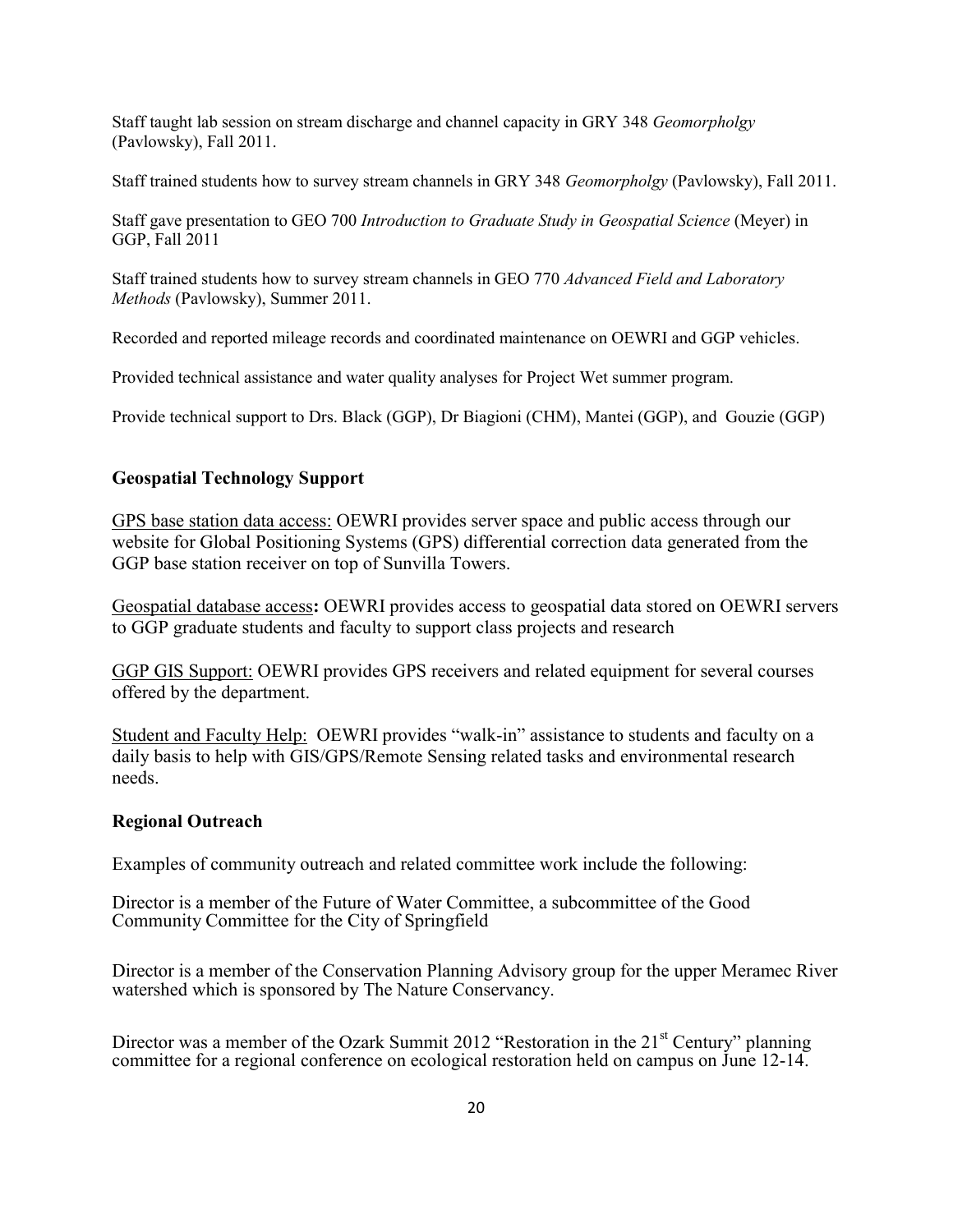Staff taught lab session on stream discharge and channel capacity in GRY 348 *Geomorpholgy* (Pavlowsky), Fall 2011.

Staff trained students how to survey stream channels in GRY 348 *Geomorpholgy* (Pavlowsky), Fall 2011.

Staff gave presentation to GEO 700 *Introduction to Graduate Study in Geospatial Science* (Meyer) in GGP, Fall 2011

Staff trained students how to survey stream channels in GEO 770 *Advanced Field and Laboratory Methods* (Pavlowsky), Summer 2011.

Recorded and reported mileage records and coordinated maintenance on OEWRI and GGP vehicles.

Provided technical assistance and water quality analyses for Project Wet summer program.

Provide technical support to Drs. Black (GGP), Dr Biagioni (CHM), Mantei (GGP), and Gouzie (GGP)

#### **Geospatial Technology Support**

GPS base station data access: OEWRI provides server space and public access through our website for Global Positioning Systems (GPS) differential correction data generated from the GGP base station receiver on top of Sunvilla Towers.

Geospatial database access**:** OEWRI provides access to geospatial data stored on OEWRI servers to GGP graduate students and faculty to support class projects and research

GGP GIS Support: OEWRI provides GPS receivers and related equipment for several courses offered by the department.

Student and Faculty Help: OEWRI provides "walk-in" assistance to students and faculty on a daily basis to help with GIS/GPS/Remote Sensing related tasks and environmental research needs.

#### **Regional Outreach**

Examples of community outreach and related committee work include the following:

Director is a member of the Future of Water Committee, a subcommittee of the Good Community Committee for the City of Springfield

Director is a member of the Conservation Planning Advisory group for the upper Meramec River watershed which is sponsored by The Nature Conservancy.

Director was a member of the Ozark Summit 2012 "Restoration in the  $21<sup>st</sup>$  Century" planning committee for a regional conference on ecological restoration held on campus on June 12-14.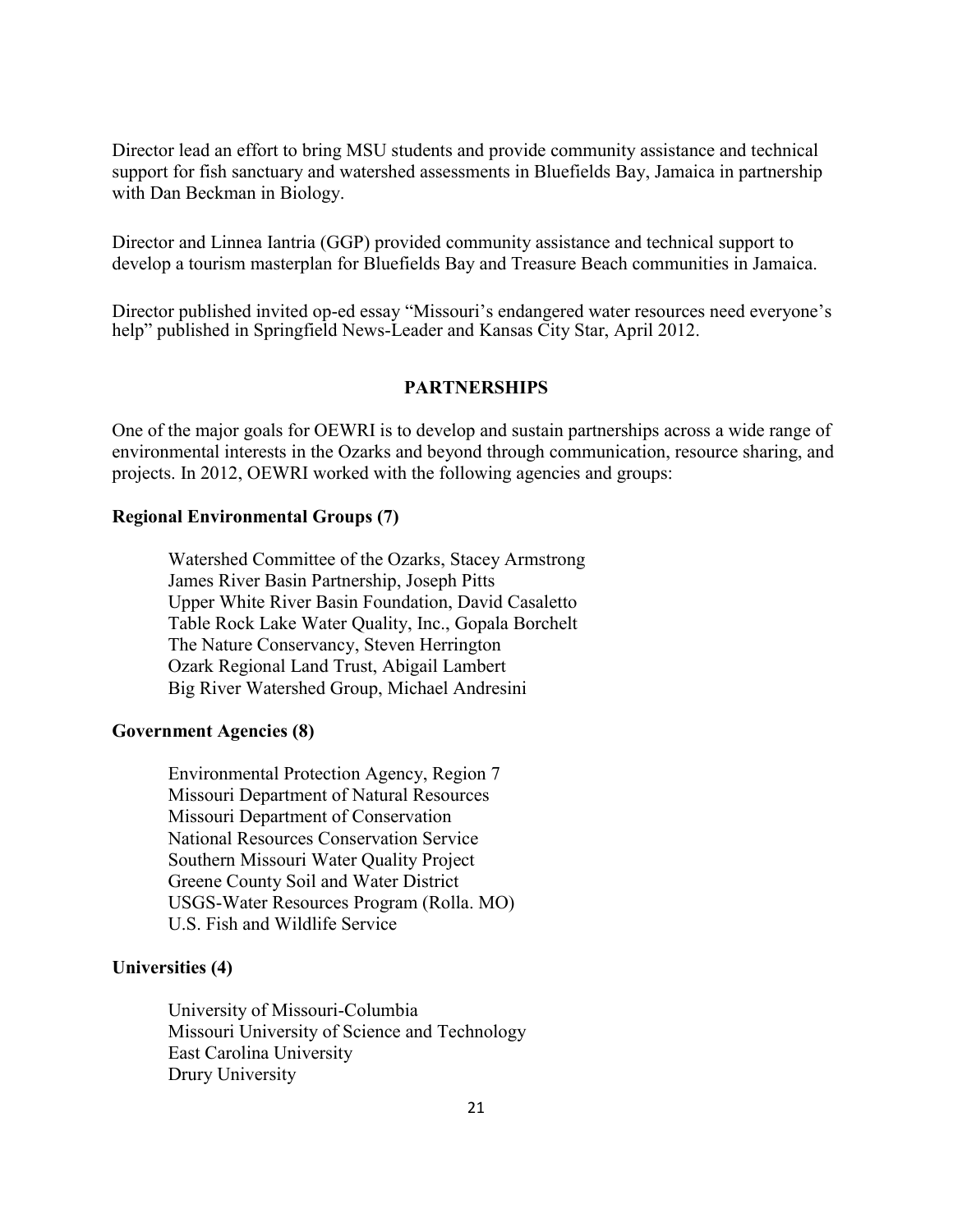Director lead an effort to bring MSU students and provide community assistance and technical support for fish sanctuary and watershed assessments in Bluefields Bay, Jamaica in partnership with Dan Beckman in Biology.

Director and Linnea Iantria (GGP) provided community assistance and technical support to develop a tourism masterplan for Bluefields Bay and Treasure Beach communities in Jamaica.

Director published invited op-ed essay "Missouri's endangered water resources need everyone's help" published in Springfield News-Leader and Kansas City Star, April 2012.

#### **PARTNERSHIPS**

One of the major goals for OEWRI is to develop and sustain partnerships across a wide range of environmental interests in the Ozarks and beyond through communication, resource sharing, and projects. In 2012, OEWRI worked with the following agencies and groups:

#### **Regional Environmental Groups (7)**

Watershed Committee of the Ozarks, Stacey Armstrong James River Basin Partnership, Joseph Pitts Upper White River Basin Foundation, David Casaletto Table Rock Lake Water Quality, Inc., Gopala Borchelt The Nature Conservancy, Steven Herrington Ozark Regional Land Trust, Abigail Lambert Big River Watershed Group, Michael Andresini

#### **Government Agencies (8)**

Environmental Protection Agency, Region 7 Missouri Department of Natural Resources Missouri Department of Conservation National Resources Conservation Service Southern Missouri Water Quality Project Greene County Soil and Water District USGS-Water Resources Program (Rolla. MO) U.S. Fish and Wildlife Service

#### **Universities (4)**

University of Missouri-Columbia Missouri University of Science and Technology East Carolina University Drury University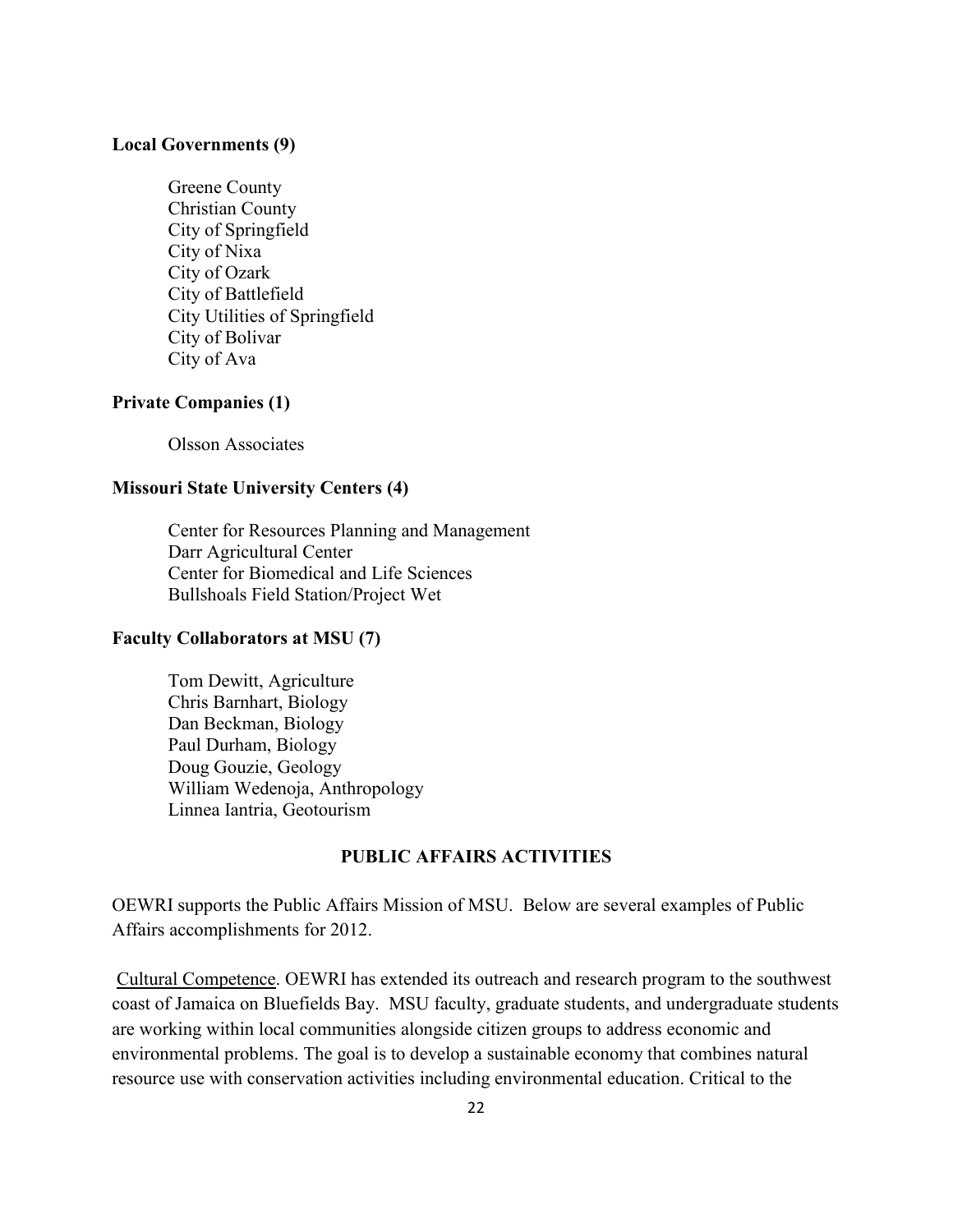#### **Local Governments (9)**

Greene County Christian County City of Springfield City of Nixa City of Ozark City of Battlefield City Utilities of Springfield City of Bolivar City of Ava

#### **Private Companies (1)**

Olsson Associates

#### **Missouri State University Centers (4)**

Center for Resources Planning and Management Darr Agricultural Center Center for Biomedical and Life Sciences Bullshoals Field Station/Project Wet

#### **Faculty Collaborators at MSU (7)**

Tom Dewitt, Agriculture Chris Barnhart, Biology Dan Beckman, Biology Paul Durham, Biology Doug Gouzie, Geology William Wedenoja, Anthropology Linnea Iantria, Geotourism

## **PUBLIC AFFAIRS ACTIVITIES**

OEWRI supports the Public Affairs Mission of MSU. Below are several examples of Public Affairs accomplishments for 2012.

Cultural Competence. OEWRI has extended its outreach and research program to the southwest coast of Jamaica on Bluefields Bay. MSU faculty, graduate students, and undergraduate students are working within local communities alongside citizen groups to address economic and environmental problems. The goal is to develop a sustainable economy that combines natural resource use with conservation activities including environmental education. Critical to the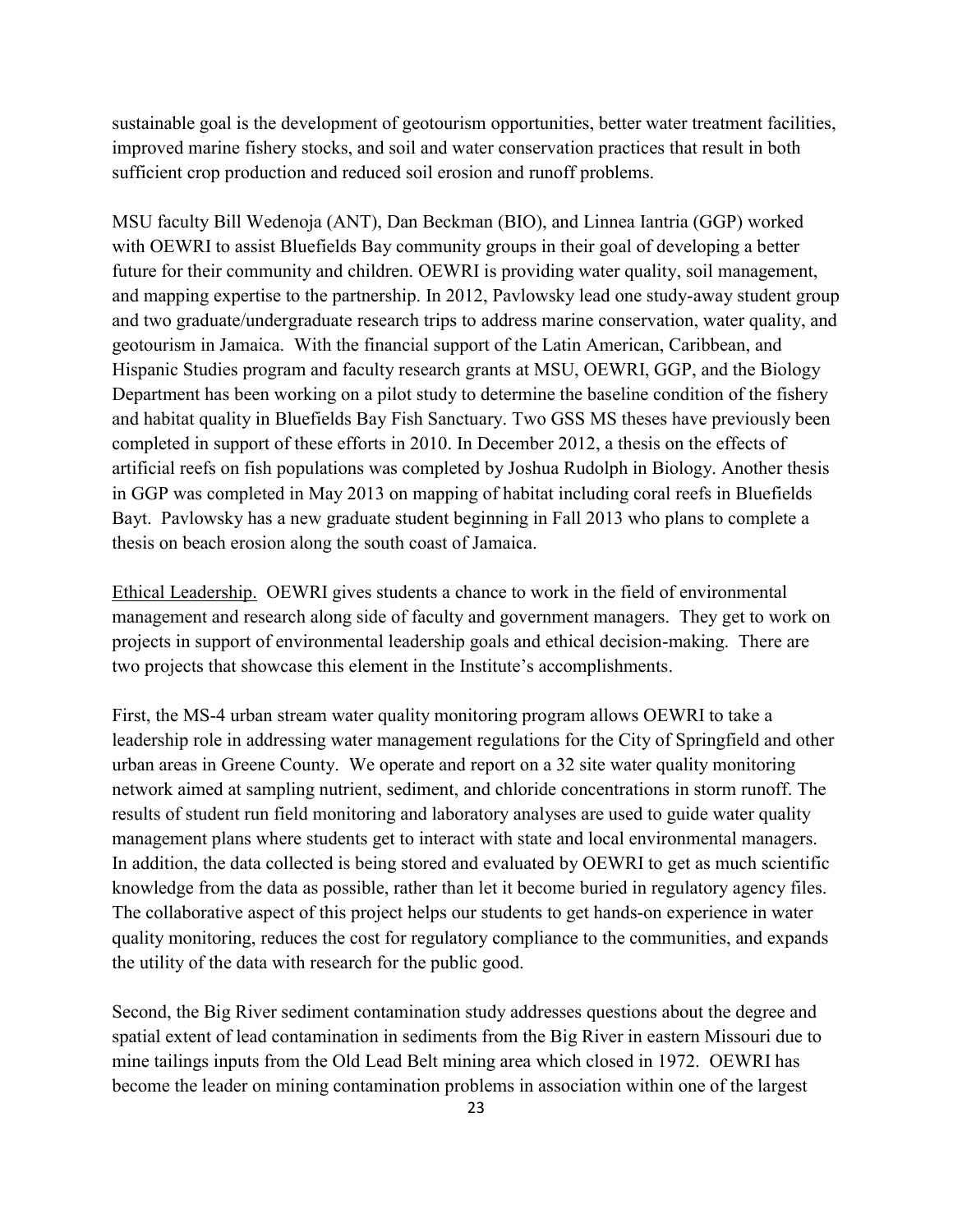sustainable goal is the development of geotourism opportunities, better water treatment facilities, improved marine fishery stocks, and soil and water conservation practices that result in both sufficient crop production and reduced soil erosion and runoff problems.

MSU faculty Bill Wedenoja (ANT), Dan Beckman (BIO), and Linnea Iantria (GGP) worked with OEWRI to assist Bluefields Bay community groups in their goal of developing a better future for their community and children. OEWRI is providing water quality, soil management, and mapping expertise to the partnership. In 2012, Pavlowsky lead one study-away student group and two graduate/undergraduate research trips to address marine conservation, water quality, and geotourism in Jamaica. With the financial support of the Latin American, Caribbean, and Hispanic Studies program and faculty research grants at MSU, OEWRI, GGP, and the Biology Department has been working on a pilot study to determine the baseline condition of the fishery and habitat quality in Bluefields Bay Fish Sanctuary. Two GSS MS theses have previously been completed in support of these efforts in 2010. In December 2012, a thesis on the effects of artificial reefs on fish populations was completed by Joshua Rudolph in Biology. Another thesis in GGP was completed in May 2013 on mapping of habitat including coral reefs in Bluefields Bayt. Pavlowsky has a new graduate student beginning in Fall 2013 who plans to complete a thesis on beach erosion along the south coast of Jamaica.

Ethical Leadership. OEWRI gives students a chance to work in the field of environmental management and research along side of faculty and government managers. They get to work on projects in support of environmental leadership goals and ethical decision-making. There are two projects that showcase this element in the Institute's accomplishments.

First, the MS-4 urban stream water quality monitoring program allows OEWRI to take a leadership role in addressing water management regulations for the City of Springfield and other urban areas in Greene County. We operate and report on a 32 site water quality monitoring network aimed at sampling nutrient, sediment, and chloride concentrations in storm runoff. The results of student run field monitoring and laboratory analyses are used to guide water quality management plans where students get to interact with state and local environmental managers. In addition, the data collected is being stored and evaluated by OEWRI to get as much scientific knowledge from the data as possible, rather than let it become buried in regulatory agency files. The collaborative aspect of this project helps our students to get hands-on experience in water quality monitoring, reduces the cost for regulatory compliance to the communities, and expands the utility of the data with research for the public good.

Second, the Big River sediment contamination study addresses questions about the degree and spatial extent of lead contamination in sediments from the Big River in eastern Missouri due to mine tailings inputs from the Old Lead Belt mining area which closed in 1972. OEWRI has become the leader on mining contamination problems in association within one of the largest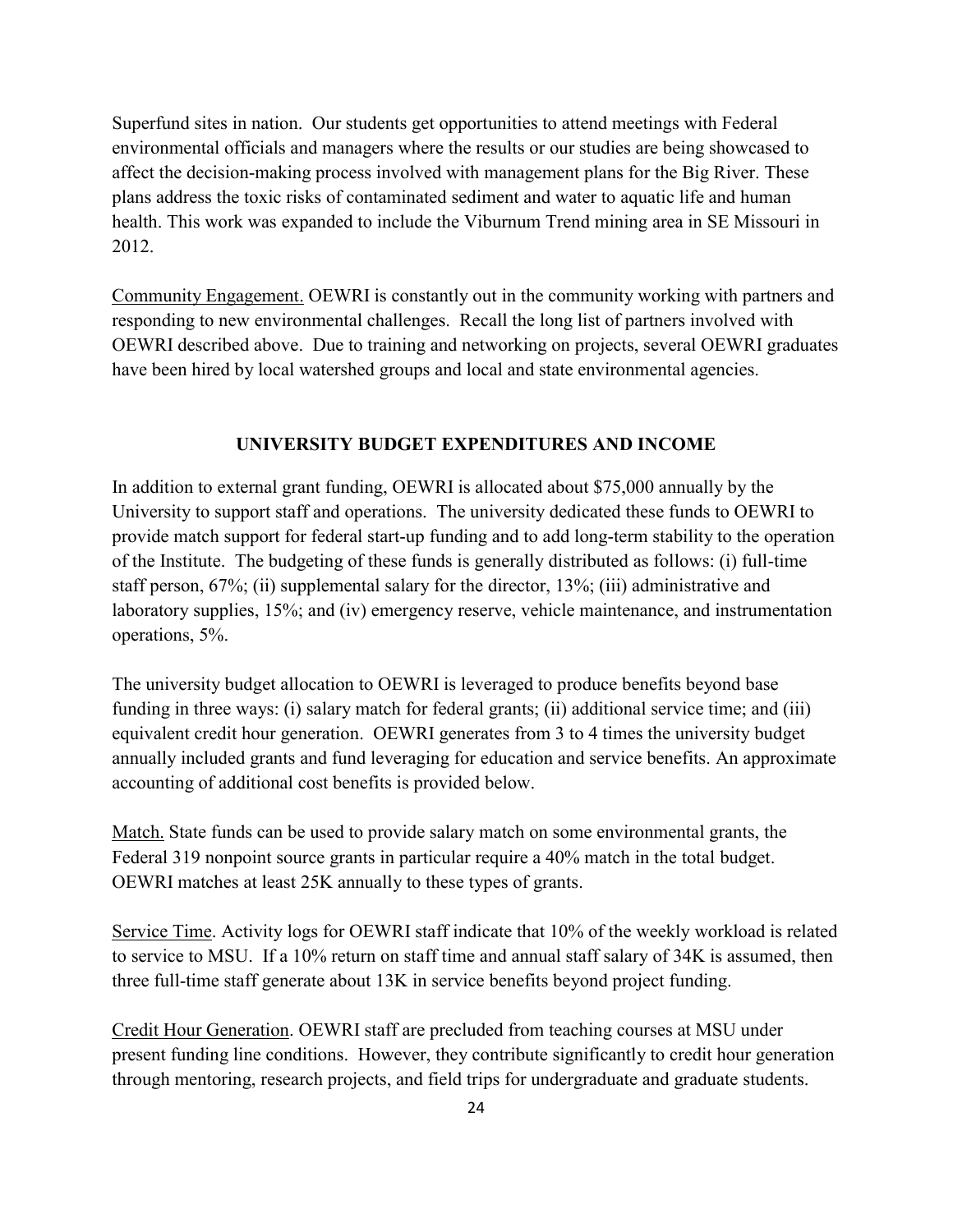Superfund sites in nation. Our students get opportunities to attend meetings with Federal environmental officials and managers where the results or our studies are being showcased to affect the decision-making process involved with management plans for the Big River. These plans address the toxic risks of contaminated sediment and water to aquatic life and human health. This work was expanded to include the Viburnum Trend mining area in SE Missouri in 2012.

Community Engagement. OEWRI is constantly out in the community working with partners and responding to new environmental challenges. Recall the long list of partners involved with OEWRI described above. Due to training and networking on projects, several OEWRI graduates have been hired by local watershed groups and local and state environmental agencies.

#### **UNIVERSITY BUDGET EXPENDITURES AND INCOME**

In addition to external grant funding, OEWRI is allocated about \$75,000 annually by the University to support staff and operations. The university dedicated these funds to OEWRI to provide match support for federal start-up funding and to add long-term stability to the operation of the Institute. The budgeting of these funds is generally distributed as follows: (i) full-time staff person, 67%; (ii) supplemental salary for the director, 13%; (iii) administrative and laboratory supplies, 15%; and (iv) emergency reserve, vehicle maintenance, and instrumentation operations, 5%.

The university budget allocation to OEWRI is leveraged to produce benefits beyond base funding in three ways: (i) salary match for federal grants; (ii) additional service time; and (iii) equivalent credit hour generation. OEWRI generates from 3 to 4 times the university budget annually included grants and fund leveraging for education and service benefits. An approximate accounting of additional cost benefits is provided below.

Match. State funds can be used to provide salary match on some environmental grants, the Federal 319 nonpoint source grants in particular require a 40% match in the total budget. OEWRI matches at least 25K annually to these types of grants.

Service Time. Activity logs for OEWRI staff indicate that 10% of the weekly workload is related to service to MSU. If a 10% return on staff time and annual staff salary of 34K is assumed, then three full-time staff generate about 13K in service benefits beyond project funding.

Credit Hour Generation. OEWRI staff are precluded from teaching courses at MSU under present funding line conditions. However, they contribute significantly to credit hour generation through mentoring, research projects, and field trips for undergraduate and graduate students.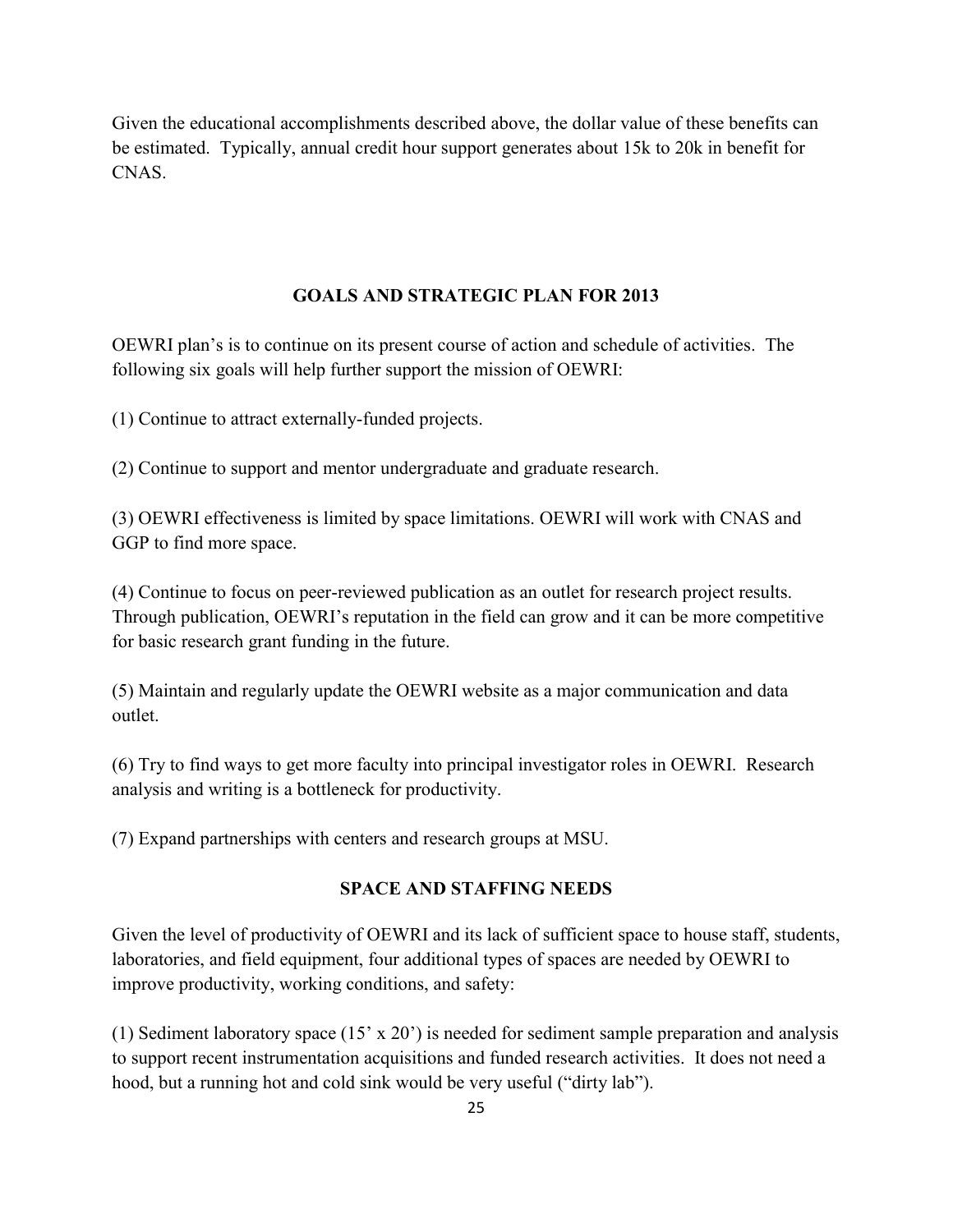Given the educational accomplishments described above, the dollar value of these benefits can be estimated. Typically, annual credit hour support generates about 15k to 20k in benefit for CNAS.

## **GOALS AND STRATEGIC PLAN FOR 2013**

OEWRI plan's is to continue on its present course of action and schedule of activities. The following six goals will help further support the mission of OEWRI:

(1) Continue to attract externally-funded projects.

(2) Continue to support and mentor undergraduate and graduate research.

(3) OEWRI effectiveness is limited by space limitations. OEWRI will work with CNAS and GGP to find more space.

(4) Continue to focus on peer-reviewed publication as an outlet for research project results. Through publication, OEWRI's reputation in the field can grow and it can be more competitive for basic research grant funding in the future.

(5) Maintain and regularly update the OEWRI website as a major communication and data outlet.

(6) Try to find ways to get more faculty into principal investigator roles in OEWRI. Research analysis and writing is a bottleneck for productivity.

(7) Expand partnerships with centers and research groups at MSU.

#### **SPACE AND STAFFING NEEDS**

Given the level of productivity of OEWRI and its lack of sufficient space to house staff, students, laboratories, and field equipment, four additional types of spaces are needed by OEWRI to improve productivity, working conditions, and safety:

(1) Sediment laboratory space (15' x 20') is needed for sediment sample preparation and analysis to support recent instrumentation acquisitions and funded research activities. It does not need a hood, but a running hot and cold sink would be very useful ("dirty lab").